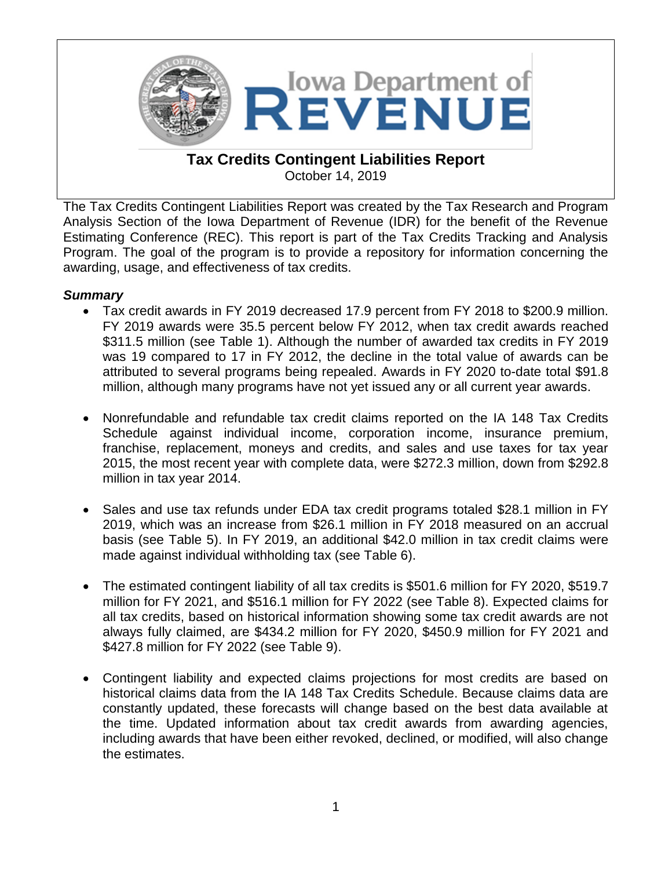

The Tax Credits Contingent Liabilities Report was created by the Tax Research and Program Analysis Section of the Iowa Department of Revenue (IDR) for the benefit of the Revenue Estimating Conference (REC). This report is part of the Tax Credits Tracking and Analysis Program. The goal of the program is to provide a repository for information concerning the awarding, usage, and effectiveness of tax credits.

## *Summary*

- Tax credit awards in FY 2019 decreased 17.9 percent from FY 2018 to \$200.9 million. FY 2019 awards were 35.5 percent below FY 2012, when tax credit awards reached \$311.5 million (see Table 1). Although the number of awarded tax credits in FY 2019 was 19 compared to 17 in FY 2012, the decline in the total value of awards can be attributed to several programs being repealed. Awards in FY 2020 to-date total \$91.8 million, although many programs have not yet issued any or all current year awards.
- Nonrefundable and refundable tax credit claims reported on the IA 148 Tax Credits Schedule against individual income, corporation income, insurance premium, franchise, replacement, moneys and credits, and sales and use taxes for tax year 2015, the most recent year with complete data, were \$272.3 million, down from \$292.8 million in tax year 2014.
- Sales and use tax refunds under EDA tax credit programs totaled \$28.1 million in FY 2019, which was an increase from \$26.1 million in FY 2018 measured on an accrual basis (see Table 5). In FY 2019, an additional \$42.0 million in tax credit claims were made against individual withholding tax (see Table 6).
- The estimated contingent liability of all tax credits is \$501.6 million for FY 2020, \$519.7 million for FY 2021, and \$516.1 million for FY 2022 (see Table 8). Expected claims for all tax credits, based on historical information showing some tax credit awards are not always fully claimed, are \$434.2 million for FY 2020, \$450.9 million for FY 2021 and \$427.8 million for FY 2022 (see Table 9).
- Contingent liability and expected claims projections for most credits are based on historical claims data from the IA 148 Tax Credits Schedule. Because claims data are constantly updated, these forecasts will change based on the best data available at the time. Updated information about tax credit awards from awarding agencies, including awards that have been either revoked, declined, or modified, will also change the estimates.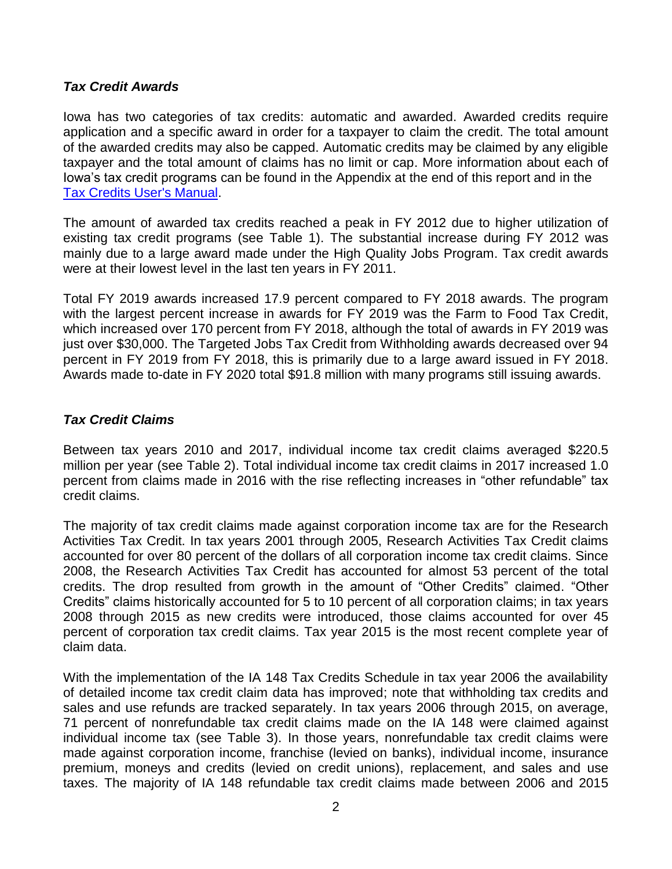#### *Tax Credit Awards*

Iowa has two categories of tax credits: automatic and awarded. Awarded credits require application and a specific award in order for a taxpayer to claim the credit. The total amount of the awarded credits may also be capped. Automatic credits may be claimed by any eligible taxpayer and the total amount of claims has no limit or cap. More information about each of Iowa's tax credit programs can be found in the Appendix at the end of this report and in the [Tax Credits User's Manual.](https://tax.iowa.gov/reports/tax-credits-users%25E2%2580%2599-manual-descriptive-guide-iowa%25E2%2580%2599s-state-tax-credits)

The amount of awarded tax credits reached a peak in FY 2012 due to higher utilization of existing tax credit programs (see Table 1). The substantial increase during FY 2012 was mainly due to a large award made under the High Quality Jobs Program. Tax credit awards were at their lowest level in the last ten years in FY 2011.

Total FY 2019 awards increased 17.9 percent compared to FY 2018 awards. The program with the largest percent increase in awards for FY 2019 was the Farm to Food Tax Credit, which increased over 170 percent from FY 2018, although the total of awards in FY 2019 was just over \$30,000. The Targeted Jobs Tax Credit from Withholding awards decreased over 94 percent in FY 2019 from FY 2018, this is primarily due to a large award issued in FY 2018. Awards made to-date in FY 2020 total \$91.8 million with many programs still issuing awards.

## *Tax Credit Claims*

Between tax years 2010 and 2017, individual income tax credit claims averaged \$220.5 million per year (see Table 2). Total individual income tax credit claims in 2017 increased 1.0 percent from claims made in 2016 with the rise reflecting increases in "other refundable" tax credit claims.

The majority of tax credit claims made against corporation income tax are for the Research Activities Tax Credit. In tax years 2001 through 2005, Research Activities Tax Credit claims accounted for over 80 percent of the dollars of all corporation income tax credit claims. Since 2008, the Research Activities Tax Credit has accounted for almost 53 percent of the total credits. The drop resulted from growth in the amount of "Other Credits" claimed. "Other Credits" claims historically accounted for 5 to 10 percent of all corporation claims; in tax years 2008 through 2015 as new credits were introduced, those claims accounted for over 45 percent of corporation tax credit claims. Tax year 2015 is the most recent complete year of claim data.

With the implementation of the IA 148 Tax Credits Schedule in tax year 2006 the availability of detailed income tax credit claim data has improved; note that withholding tax credits and sales and use refunds are tracked separately. In tax years 2006 through 2015, on average, 71 percent of nonrefundable tax credit claims made on the IA 148 were claimed against individual income tax (see Table 3). In those years, nonrefundable tax credit claims were made against corporation income, franchise (levied on banks), individual income, insurance premium, moneys and credits (levied on credit unions), replacement, and sales and use taxes. The majority of IA 148 refundable tax credit claims made between 2006 and 2015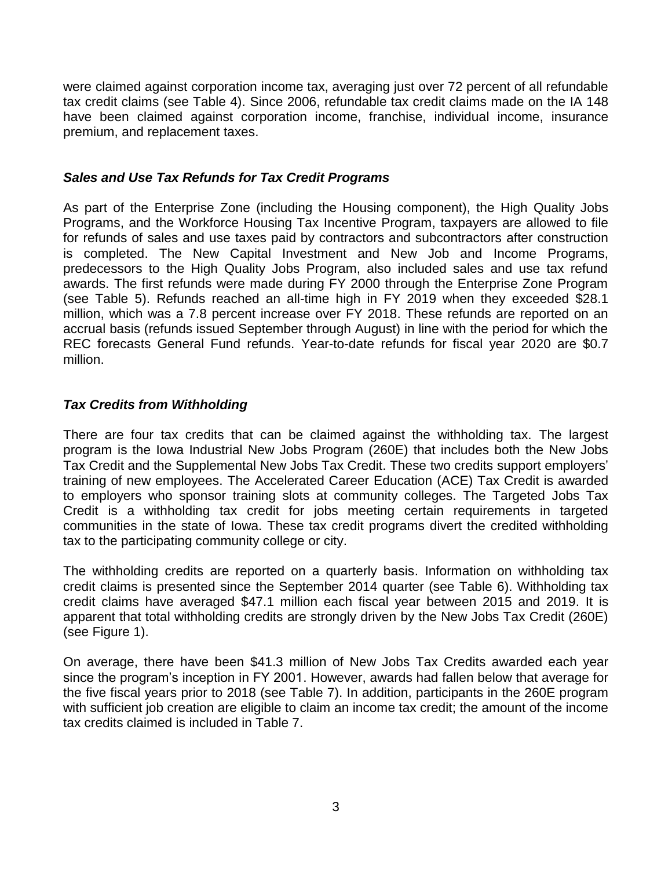were claimed against corporation income tax, averaging just over 72 percent of all refundable tax credit claims (see Table 4). Since 2006, refundable tax credit claims made on the IA 148 have been claimed against corporation income, franchise, individual income, insurance premium, and replacement taxes.

## *Sales and Use Tax Refunds for Tax Credit Programs*

As part of the Enterprise Zone (including the Housing component), the High Quality Jobs Programs, and the Workforce Housing Tax Incentive Program, taxpayers are allowed to file for refunds of sales and use taxes paid by contractors and subcontractors after construction is completed. The New Capital Investment and New Job and Income Programs, predecessors to the High Quality Jobs Program, also included sales and use tax refund awards. The first refunds were made during FY 2000 through the Enterprise Zone Program (see Table 5). Refunds reached an all-time high in FY 2019 when they exceeded \$28.1 million, which was a 7.8 percent increase over FY 2018. These refunds are reported on an accrual basis (refunds issued September through August) in line with the period for which the REC forecasts General Fund refunds. Year-to-date refunds for fiscal year 2020 are \$0.7 million.

## *Tax Credits from Withholding*

There are four tax credits that can be claimed against the withholding tax. The largest program is the Iowa Industrial New Jobs Program (260E) that includes both the New Jobs Tax Credit and the Supplemental New Jobs Tax Credit. These two credits support employers' training of new employees. The Accelerated Career Education (ACE) Tax Credit is awarded to employers who sponsor training slots at community colleges. The Targeted Jobs Tax Credit is a withholding tax credit for jobs meeting certain requirements in targeted communities in the state of Iowa. These tax credit programs divert the credited withholding tax to the participating community college or city.

The withholding credits are reported on a quarterly basis. Information on withholding tax credit claims is presented since the September 2014 quarter (see Table 6). Withholding tax credit claims have averaged \$47.1 million each fiscal year between 2015 and 2019. It is apparent that total withholding credits are strongly driven by the New Jobs Tax Credit (260E) (see Figure 1).

On average, there have been \$41.3 million of New Jobs Tax Credits awarded each year since the program's inception in FY 2001. However, awards had fallen below that average for the five fiscal years prior to 2018 (see Table 7). In addition, participants in the 260E program with sufficient job creation are eligible to claim an income tax credit; the amount of the income tax credits claimed is included in Table 7.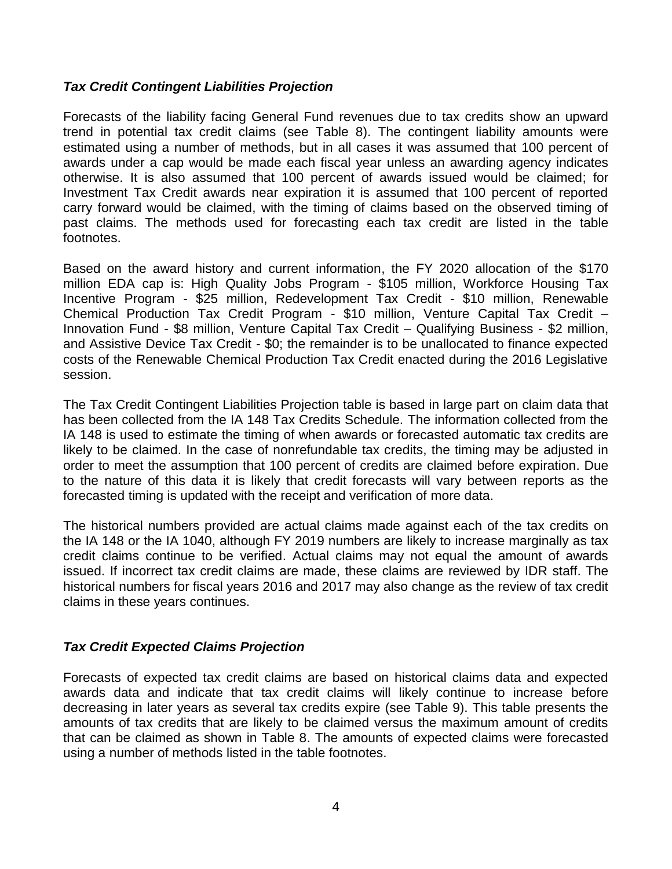#### *Tax Credit Contingent Liabilities Projection*

Forecasts of the liability facing General Fund revenues due to tax credits show an upward trend in potential tax credit claims (see Table 8). The contingent liability amounts were estimated using a number of methods, but in all cases it was assumed that 100 percent of awards under a cap would be made each fiscal year unless an awarding agency indicates otherwise. It is also assumed that 100 percent of awards issued would be claimed; for Investment Tax Credit awards near expiration it is assumed that 100 percent of reported carry forward would be claimed, with the timing of claims based on the observed timing of past claims. The methods used for forecasting each tax credit are listed in the table footnotes.

Based on the award history and current information, the FY 2020 allocation of the \$170 million EDA cap is: High Quality Jobs Program - \$105 million, Workforce Housing Tax Incentive Program - \$25 million, Redevelopment Tax Credit - \$10 million, Renewable Chemical Production Tax Credit Program - \$10 million, Venture Capital Tax Credit – Innovation Fund - \$8 million, Venture Capital Tax Credit – Qualifying Business - \$2 million, and Assistive Device Tax Credit - \$0; the remainder is to be unallocated to finance expected costs of the Renewable Chemical Production Tax Credit enacted during the 2016 Legislative session.

The Tax Credit Contingent Liabilities Projection table is based in large part on claim data that has been collected from the IA 148 Tax Credits Schedule. The information collected from the IA 148 is used to estimate the timing of when awards or forecasted automatic tax credits are likely to be claimed. In the case of nonrefundable tax credits, the timing may be adjusted in order to meet the assumption that 100 percent of credits are claimed before expiration. Due to the nature of this data it is likely that credit forecasts will vary between reports as the forecasted timing is updated with the receipt and verification of more data.

The historical numbers provided are actual claims made against each of the tax credits on the IA 148 or the IA 1040, although FY 2019 numbers are likely to increase marginally as tax credit claims continue to be verified. Actual claims may not equal the amount of awards issued. If incorrect tax credit claims are made, these claims are reviewed by IDR staff. The historical numbers for fiscal years 2016 and 2017 may also change as the review of tax credit claims in these years continues.

## *Tax Credit Expected Claims Projection*

Forecasts of expected tax credit claims are based on historical claims data and expected awards data and indicate that tax credit claims will likely continue to increase before decreasing in later years as several tax credits expire (see Table 9). This table presents the amounts of tax credits that are likely to be claimed versus the maximum amount of credits that can be claimed as shown in Table 8. The amounts of expected claims were forecasted using a number of methods listed in the table footnotes.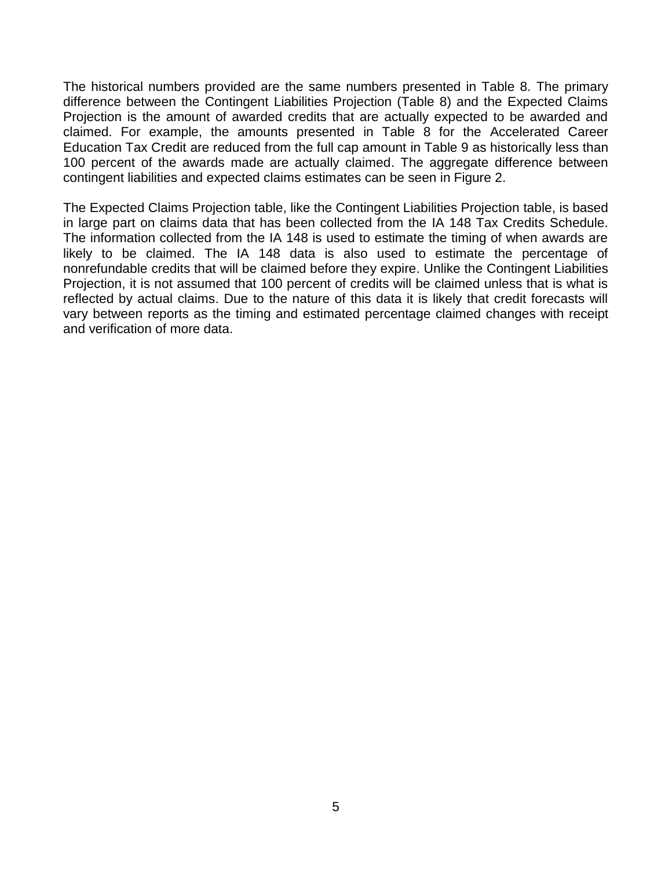The historical numbers provided are the same numbers presented in Table 8. The primary difference between the Contingent Liabilities Projection (Table 8) and the Expected Claims Projection is the amount of awarded credits that are actually expected to be awarded and claimed. For example, the amounts presented in Table 8 for the Accelerated Career Education Tax Credit are reduced from the full cap amount in Table 9 as historically less than 100 percent of the awards made are actually claimed. The aggregate difference between contingent liabilities and expected claims estimates can be seen in Figure 2.

The Expected Claims Projection table, like the Contingent Liabilities Projection table, is based in large part on claims data that has been collected from the IA 148 Tax Credits Schedule. The information collected from the IA 148 is used to estimate the timing of when awards are likely to be claimed. The IA 148 data is also used to estimate the percentage of nonrefundable credits that will be claimed before they expire. Unlike the Contingent Liabilities Projection, it is not assumed that 100 percent of credits will be claimed unless that is what is reflected by actual claims. Due to the nature of this data it is likely that credit forecasts will vary between reports as the timing and estimated percentage claimed changes with receipt and verification of more data.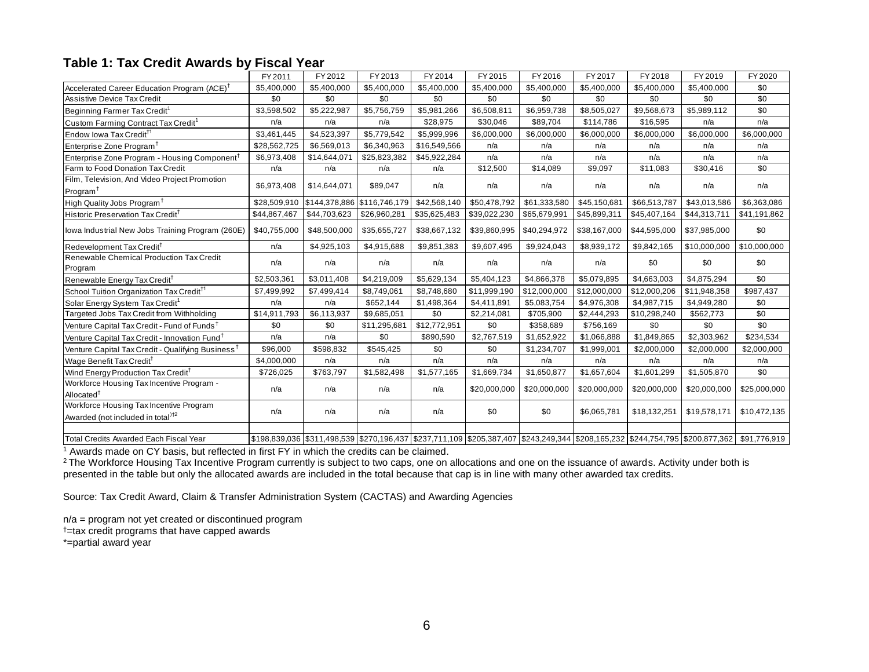#### **Table 1: Tax Credit Awards by Fiscal Year**

| Table 1: Tax Credit Awards by Fiscal Year                                                |              |               |                                                                                                                               |              |              |              |              |              |              |              |
|------------------------------------------------------------------------------------------|--------------|---------------|-------------------------------------------------------------------------------------------------------------------------------|--------------|--------------|--------------|--------------|--------------|--------------|--------------|
|                                                                                          | FY 2011      | FY 2012       | FY 2013                                                                                                                       | FY 2014      | FY 2015      | FY 2016      | FY 2017      | FY 2018      | FY 2019      | FY 2020      |
| Accelerated Career Education Program (ACE) <sup>†</sup>                                  | \$5,400,000  | \$5,400,000   | \$5,400,000                                                                                                                   | \$5,400,000  | \$5,400,000  | \$5,400,000  | \$5,400,000  | \$5,400,000  | \$5,400,000  | \$0          |
| <b>Assistive Device Tax Credit</b>                                                       | \$0          | \$0           | \$0                                                                                                                           | \$0          | \$0          | \$0          | \$0          | \$0          | \$0          | \$0          |
| Beginning Farmer Tax Credit <sup>1</sup>                                                 | \$3,598,502  | \$5,222,987   | \$5,756,759                                                                                                                   | \$5,981,266  | \$6,508,811  | \$6,959,738  | \$8,505,027  | \$9,568,673  | \$5,989,112  | \$0          |
| Custom Farming Contract Tax Credit <sup>1</sup>                                          | n/a          | n/a           | n/a                                                                                                                           | \$28,975     | \$30,046     | \$89,704     | \$114,786    | \$16,595     | n/a          | n/a          |
| Endow Iowa Tax Credit <sup>11</sup>                                                      | \$3.461.445  | \$4,523,397   | \$5,779,542                                                                                                                   | \$5,999,996  | \$6,000,000  | \$6,000,000  | \$6,000,000  | \$6,000,000  | \$6,000,000  | \$6,000,000  |
| Enterprise Zone Program <sup>+</sup>                                                     | \$28,562,725 | \$6,569,013   | \$6,340,963                                                                                                                   | \$16,549,566 | n/a          | n/a          | n/a          | n/a          | n/a          | n/a          |
| Enterprise Zone Program - Housing Component <sup>†</sup>                                 | \$6,973,408  | \$14,644,071  | \$25,823,382                                                                                                                  | \$45,922,284 | n/a          | n/a          | n/a          | n/a          | n/a          | n/a          |
| Farm to Food Donation Tax Credit                                                         | n/a          | n/a           | n/a                                                                                                                           | n/a          | \$12,500     | \$14,089     | \$9,097      | \$11,083     | \$30,416     | \$0          |
| Film, Television, And Video Project Promotion<br>Program <sup>T</sup>                    | \$6,973,408  | \$14,644,071  | \$89,047                                                                                                                      | n/a          | n/a          | n/a          | n/a          | n/a          | n/a          | n/a          |
| High Quality Jobs Program <sup>+</sup>                                                   | \$28,509,910 | \$144,378,886 | \$116,746,179                                                                                                                 | \$42,568,140 | \$50,478,792 | \$61,333,580 | \$45,150,681 | \$66,513,787 | \$43,013,586 | \$6,363,086  |
| Historic Preservation Tax Credit <sup>†</sup>                                            | \$44,867,467 | \$44,703,623  | \$26,960,281                                                                                                                  | \$35,625,483 | \$39,022,230 | \$65,679,991 | \$45,899,311 | \$45,407,164 | \$44,313,711 | \$41,191,862 |
| lowa Industrial New Jobs Training Program (260E)                                         | \$40,755,000 | \$48,500,000  | \$35,655,727                                                                                                                  | \$38,667,132 | \$39,860,995 | \$40,294,972 | \$38,167,000 | \$44,595,000 | \$37,985,000 | \$0          |
| Redevelopment Tax Credit <sup>T</sup>                                                    | n/a          | \$4,925,103   | \$4,915,688                                                                                                                   | \$9,851,383  | \$9,607,495  | \$9,924,043  | \$8,939,172  | \$9,842,165  | \$10,000,000 | \$10,000,000 |
| Renewable Chemical Production Tax Credit<br>Program                                      | n/a          | n/a           | n/a                                                                                                                           | n/a          | n/a          | n/a          | n/a          | \$0          | \$0          | \$0          |
| Renewable Energy Tax Credit <sup>†</sup>                                                 | \$2,503,361  | \$3,011,408   | \$4,219,009                                                                                                                   | \$5,629,134  | \$5,404,123  | \$4,866,378  | \$5,079,895  | \$4,663,003  | \$4,875,294  | \$0          |
| School Tuition Organization Tax Credit <sup>11</sup>                                     | \$7,499,992  | \$7,499,414   | \$8,749,061                                                                                                                   | \$8,748,680  | \$11,999,190 | \$12,000,000 | \$12,000,000 | \$12,000,206 | \$11,948,358 | \$987,437    |
| Solar Energy System Tax Credit <sup>1</sup>                                              | n/a          | n/a           | \$652,144                                                                                                                     | \$1,498,364  | \$4,411,891  | \$5,083,754  | \$4,976,308  | \$4,987,715  | \$4,949,280  | \$0          |
| Targeted Jobs Tax Credit from Withholding                                                | \$14,911,793 | \$6,113,937   | \$9,685,051                                                                                                                   | \$0          | \$2,214,081  | \$705,900    | \$2,444,293  | \$10,298,240 | \$562,773    | \$0          |
| Venture Capital Tax Credit - Fund of Funds <sup>†</sup>                                  | \$0          | \$0           | \$11,295,681                                                                                                                  | \$12,772,951 | \$0          | \$358,689    | \$756,169    | \$0          | \$0          | \$0          |
| Venture Capital Tax Credit - Innovation Fund <sup>†</sup>                                | n/a          | n/a           | \$0                                                                                                                           | \$890,590    | \$2,767,519  | \$1,652,922  | \$1,066,888  | \$1,849,865  | \$2,303,962  | \$234,534    |
| Venture Capital Tax Credit - Qualifying Business <sup>†</sup>                            | \$96,000     | \$598,832     | \$545,425                                                                                                                     | \$0          | \$0          | \$1,234,707  | \$1,999,001  | \$2,000,000  | \$2,000,000  | \$2,000,000  |
| Wage Benefit Tax Credit <sup>T</sup>                                                     | \$4,000,000  | n/a           | n/a                                                                                                                           | n/a          | n/a          | n/a          | n/a          | n/a          | n/a          | n/a          |
| Wind Energy Production Tax Credit <sup>†</sup>                                           | \$726,025    | \$763,797     | \$1,582,498                                                                                                                   | \$1,577,165  | \$1,669,734  | \$1,650,877  | \$1,657,604  | \$1,601,299  | \$1,505,870  | \$0          |
| Workforce Housing Tax Incentive Program -<br>Allocated <sup>+</sup>                      | n/a          | n/a           | n/a                                                                                                                           | n/a          | \$20,000,000 | \$20,000,000 | \$20,000,000 | \$20,000,000 | \$20,000,000 | \$25,000,000 |
| Workforce Housing Tax Incentive Program<br>Awarded (not included in total) <sup>†2</sup> | n/a          | n/a           | n/a                                                                                                                           | n/a          | \$0          | \$0          | \$6,065,781  | \$18,132,251 | \$19,578,171 | \$10,472,135 |
| Total Credits Awarded Each Fiscal Year                                                   |              |               | \$198,839,036 \$311,498,539 \$270,196,437 \$237,711,109 \$205,387,407 \$243,249,344 \$208,165,232 \$244,754,795 \$200,877,362 |              |              |              |              |              |              | \$91,776,919 |

<sup>1</sup> Awards made on CY basis, but reflected in first FY in which the credits can be claimed.

 $^2$ The Workforce Housing Tax Incentive Program currently is subject to two caps, one on allocations and one on the issuance of awards. Activity under both is presented in the table but only the allocated awards are included in the total because that cap is in line with many other awarded tax credits.

Source: Tax Credit Award, Claim & Transfer Administration System (CACTAS) and Awarding Agencies

n/a = program not yet created or discontinued program †=tax credit programs that have capped awards \*=partial award year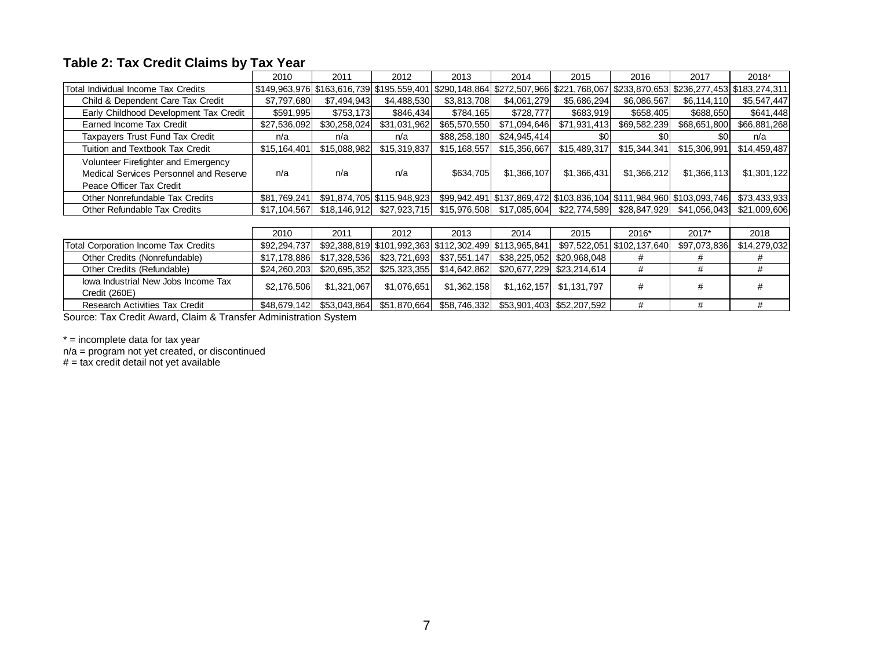#### **Table 2: Tax Credit Claims by Tax Year**

|                                                                                                           | 2010         | 2011         | 2012                                                        | 2013         | 2014                                                                  | 2015                      | 2016                       | 2017         | 2018*        |
|-----------------------------------------------------------------------------------------------------------|--------------|--------------|-------------------------------------------------------------|--------------|-----------------------------------------------------------------------|---------------------------|----------------------------|--------------|--------------|
| Total Individual Income Tax Credits                                                                       |              |              | $$149,963,976$ $$163,616,739$ $$195,559,401$ $$290,148,864$ |              | \$272,507,966 \$221,768,067 \$233,870,653 \$236,277,453 \$183,274,311 |                           |                            |              |              |
| Child & Dependent Care Tax Credit                                                                         | \$7,797,680  | \$7,494,943  | \$4,488,530                                                 | \$3,813,708  | \$4,061,279                                                           | \$5,686,294               | \$6,086,567                | \$6,114,110  | \$5,547,447  |
| Early Childhood Development Tax Credit                                                                    | \$591,995    | \$753,173    | \$846,434                                                   | \$784,165    | \$728,777                                                             | \$683,919                 | \$658,405                  | \$688,650    | \$641,448    |
| Earned Income Tax Credit                                                                                  | \$27,536,092 | \$30,258,024 | \$31,031,962                                                | \$65,570,550 | \$71,094,646                                                          | \$71,931,413              | \$69,582,239               | \$68,651,800 | \$66,881,268 |
| Taxpayers Trust Fund Tax Credit                                                                           | n/a          | n/a          | n/a                                                         | \$88,258,180 | \$24,945,414                                                          | \$0                       | \$O                        | \$0          | n/a          |
| Tuition and Textbook Tax Credit                                                                           | \$15,164,401 | \$15,088,982 | \$15,319,837                                                | \$15,168,557 | \$15,356,667                                                          | \$15,489,317              | \$15,344,341               | \$15,306,991 | \$14,459,487 |
| Volunteer Firefighter and Emergency<br>Medical Services Personnel and Reserve<br>Peace Officer Tax Credit | n/a          | n/a          | n/a                                                         | \$634,705    | \$1,366,107                                                           | \$1,366,431               | \$1,366,212                | \$1,366,113  | \$1,301,122  |
| Other Nonrefundable Tax Credits                                                                           | \$81,769,241 |              | \$91,874,705 \$115,948,923                                  |              | \$99,942,491 \$137,869,472 \$103,836,104 \$111,984,960 \$103,093,746  |                           |                            |              | \$73,433,933 |
| Other Refundable Tax Credits                                                                              | \$17,104,567 | \$18.146.912 | \$27,923,715                                                | \$15,976,508 | \$17,085,604                                                          | \$22,774,589              | \$28,847,929               | \$41,056,043 | \$21,009,606 |
|                                                                                                           |              |              |                                                             |              |                                                                       |                           |                            |              |              |
|                                                                                                           | 2010         | 2011         | 2012                                                        | 2013         | 2014                                                                  | 2015                      | 2016*                      | 2017*        | 2018         |
| Total Corporation Income Tax Credits                                                                      | \$92,294,737 |              | \$92,388,819 \$101,992,363 \$112,302,499 \$113,965,841      |              |                                                                       |                           | \$97,522,051 \$102,137,640 | \$97,073,836 | \$14,279,032 |
| Other Credits (Nonrefundable)                                                                             | \$17,178,886 | \$17,328,536 | \$23,721,693                                                | \$37,551,147 | \$38,225,052                                                          | \$20,968,048              | #                          | #            | #            |
| Other Credits (Refundable)                                                                                | \$24,260,203 | \$20,695,352 | \$25,323,355                                                | \$14,642,862 | \$20,677,229                                                          | \$23,214,614              | #                          | #            | #            |
| lowa Industrial New Jobs Income Tax<br>Credit (260E)                                                      | \$2,176,506  | \$1,321,067  | \$1,076,651                                                 | \$1,362,158  | \$1,162,157                                                           | \$1,131,797               | #                          | #            | #            |
| <b>Research Activities Tax Credit</b>                                                                     | \$48,679,142 | \$53,043,864 | \$51,870,664                                                | \$58,746,332 |                                                                       | \$53,901,403 \$52,207,592 | #                          | #            | #            |

Source: Tax Credit Award, Claim & Transfer Administration System

 $* =$  incomplete data for tax year

 $n/a =$  program not yet created, or discontinued

 $# = tax$  credit detail not yet available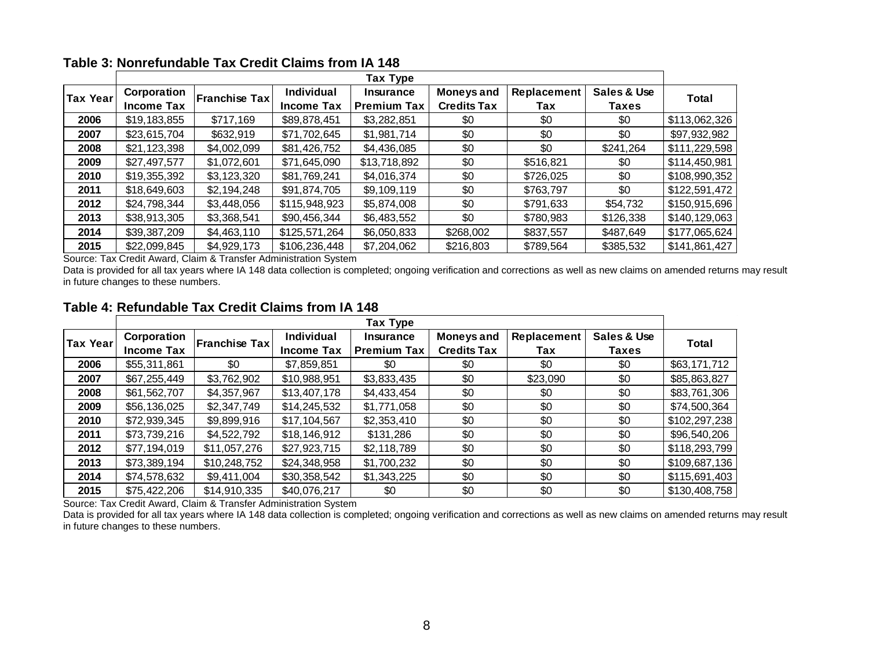|          |                   |                      |                   | Tax Type           |                    |             |              |               |
|----------|-------------------|----------------------|-------------------|--------------------|--------------------|-------------|--------------|---------------|
| Tax Year | Corporation       | <b>Franchise Tax</b> | Individual        | Insurance          | <b>Moneys and</b>  | Replacement | Sales & Use  | Total         |
|          | <b>Income Tax</b> |                      | <b>Income Tax</b> | <b>Premium Tax</b> | <b>Credits Tax</b> | Tax         | <b>Taxes</b> |               |
| 2006     | \$19,183,855      | \$717,169            | \$89,878,451      | \$3,282,851        | \$0                | \$0         | \$0          | \$113,062,326 |
| 2007     | \$23,615,704      | \$632,919            | \$71,702,645      | \$1,981,714        | \$0                | \$0         | \$0          | \$97,932,982  |
| 2008     | \$21,123,398      | \$4,002,099          | \$81,426,752      | \$4,436,085        | \$0                | \$0         | \$241,264    | \$111,229,598 |
| 2009     | \$27,497,577      | \$1,072,601          | \$71,645,090      | \$13,718,892       | \$0                | \$516,821   | \$0          | \$114,450,981 |
| 2010     | \$19,355,392      | \$3,123,320          | \$81,769,241      | \$4,016,374        | \$0                | \$726,025   | \$0          | \$108,990,352 |
| 2011     | \$18,649,603      | \$2,194,248          | \$91,874,705      | \$9,109,119        | \$0                | \$763,797   | \$0          | \$122,591,472 |
| 2012     | \$24,798,344      | \$3,448,056          | \$115,948,923     | \$5,874,008        | \$0                | \$791,633   | \$54,732     | \$150,915,696 |
| 2013     | \$38,913,305      | \$3,368,541          | \$90,456,344      | \$6,483,552        | \$0                | \$780,983   | \$126,338    | \$140,129,063 |
| 2014     | \$39,387,209      | \$4,463,110          | \$125,571,264     | \$6,050,833        | \$268,002          | \$837,557   | \$487,649    | \$177,065,624 |
| 2015     | \$22,099,845      | \$4,929,173          | \$106,236,448     | \$7,204,062        | \$216,803          | \$789,564   | \$385,532    | \$141,861,427 |

#### **Table 3: Nonrefundable Tax Credit Claims from IA 148**

Source: Tax Credit Award, Claim & Transfer Administration System

Data is provided for all tax years where IA 148 data collection is completed; ongoing verification and corrections as well as new claims on amended returns may result in future changes to these numbers.

#### **Table 4: Refundable Tax Credit Claims from IA 148**

|          |                   |               |                   | Tax Type           |                    |             |             |               |
|----------|-------------------|---------------|-------------------|--------------------|--------------------|-------------|-------------|---------------|
| Tax Year | Corporation       | Franchise Tax | Individual        | <b>Insurance</b>   | <b>Moneys and</b>  | Replacement | Sales & Use | <b>Total</b>  |
|          | <b>Income Tax</b> |               | <b>Income Tax</b> | <b>Premium Tax</b> | <b>Credits Tax</b> | Tax         | Taxes       |               |
| 2006     | \$55,311,861      | \$0           | \$7,859,851       | \$0                | \$0                | \$0         | \$0         | \$63,171,712  |
| 2007     | \$67,255,449      | \$3,762,902   | \$10,988,951      | \$3,833,435        | \$0                | \$23,090    | \$0         | \$85,863,827  |
| 2008     | \$61,562,707      | \$4,357,967   | \$13,407,178      | \$4,433,454        | \$0                | \$0         | \$0         | \$83,761,306  |
| 2009     | \$56,136,025      | \$2,347,749   | \$14,245,532      | \$1,771,058        | \$0                | \$0         | \$0         | \$74,500,364  |
| 2010     | \$72,939,345      | \$9,899,916   | \$17,104,567      | \$2,353,410        | \$0                | \$0         | \$0         | \$102,297,238 |
| 2011     | \$73,739,216      | \$4,522,792   | \$18,146,912      | \$131,286          | \$0                | \$0         | \$0         | \$96,540,206  |
| 2012     | \$77,194,019      | \$11,057,276  | \$27,923,715      | \$2,118,789        | \$0                | \$0         | \$0         | \$118,293,799 |
| 2013     | \$73,389,194      | \$10,248,752  | \$24,348,958      | \$1,700,232        | \$0                | \$0         | \$0         | \$109,687,136 |
| 2014     | \$74,578,632      | \$9,411,004   | \$30,358,542      | \$1,343,225        | \$0                | \$0         | \$0         | \$115,691,403 |
| 2015     | \$75,422,206      | \$14,910,335  | \$40,076,217      | \$0                | \$0                | \$0         | \$0         | \$130,408,758 |

Source: Tax Credit Award, Claim & Transfer Administration System

Data is provided for all tax years where IA 148 data collection is completed; ongoing verification and corrections as well as new claims on amended returns may result in future changes to these numbers.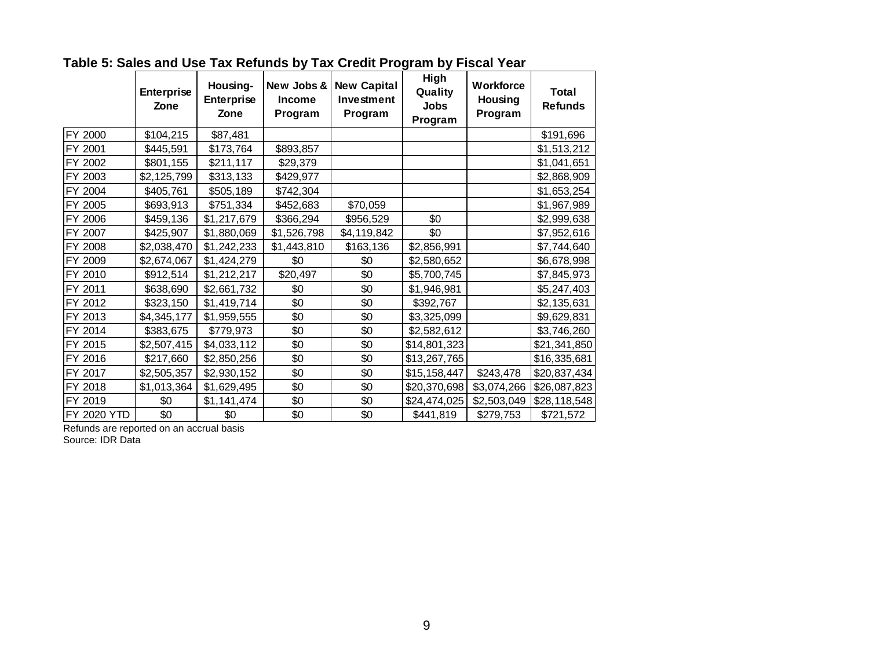|             | <b>Enterprise</b><br>Zone | Housing-<br><b>Enterprise</b><br>Zone | New Jobs &<br><b>Income</b><br>Program | <b>New Capital</b><br>Investment<br>Program | High<br>Quality<br><b>Jobs</b><br>Program | <b>Workforce</b><br>Housing<br>Program | <b>Total</b><br><b>Refunds</b> |
|-------------|---------------------------|---------------------------------------|----------------------------------------|---------------------------------------------|-------------------------------------------|----------------------------------------|--------------------------------|
| FY 2000     | \$104,215                 | \$87,481                              |                                        |                                             |                                           |                                        | \$191,696                      |
| FY 2001     | \$445,591                 | \$173,764                             | \$893,857                              |                                             |                                           |                                        | \$1,513,212                    |
| FY 2002     | \$801,155                 | \$211,117                             | \$29,379                               |                                             |                                           |                                        | \$1,041,651                    |
| FY 2003     | \$2,125,799               | \$313,133                             | \$429,977                              |                                             |                                           |                                        | \$2,868,909                    |
| FY 2004     | \$405,761                 | \$505,189                             | \$742,304                              |                                             |                                           |                                        | \$1,653,254                    |
| FY 2005     | \$693,913                 | \$751,334                             | \$452,683                              | \$70,059                                    |                                           |                                        | \$1,967,989                    |
| FY 2006     | \$459,136                 | \$1,217,679                           | \$366,294                              | \$956,529                                   | \$0                                       |                                        | \$2,999,638                    |
| FY 2007     | \$425,907                 | \$1,880,069                           | \$1,526,798                            | \$4,119,842                                 | \$0                                       |                                        | \$7,952,616                    |
| FY 2008     | \$2,038,470               | \$1,242,233                           | \$1,443,810                            | \$163,136                                   | \$2,856,991                               |                                        | \$7,744,640                    |
| FY 2009     | \$2,674,067               | \$1,424,279                           | \$0                                    | \$0                                         | \$2,580,652                               |                                        | \$6,678,998                    |
| FY 2010     | \$912,514                 | \$1,212,217                           | \$20,497                               | \$0                                         | \$5,700,745                               |                                        | \$7,845,973                    |
| FY 2011     | \$638,690                 | \$2,661,732                           | \$0                                    | \$0                                         | \$1,946,981                               |                                        | \$5,247,403                    |
| FY 2012     | \$323,150                 | \$1,419,714                           | \$0                                    | \$0                                         | \$392,767                                 |                                        | \$2,135,631                    |
| FY 2013     | \$4,345,177               | \$1,959,555                           | \$0                                    | \$0                                         | \$3,325,099                               |                                        | \$9,629,831                    |
| FY 2014     | \$383,675                 | \$779,973                             | \$0                                    | \$0                                         | \$2,582,612                               |                                        | \$3,746,260                    |
| FY 2015     | \$2,507,415               | \$4,033,112                           | \$0                                    | \$0                                         | \$14,801,323                              |                                        | \$21,341,850                   |
| FY 2016     | \$217,660                 | \$2,850,256                           | \$0                                    | \$0                                         | \$13,267,765                              |                                        | \$16,335,681                   |
| FY 2017     | \$2,505,357               | \$2,930,152                           | \$0                                    | \$0                                         | \$15,158,447                              | \$243,478                              | \$20,837,434                   |
| FY 2018     | \$1,013,364               | \$1,629,495                           | \$0                                    | \$0                                         | \$20,370,698                              | \$3,074,266                            | \$26,087,823                   |
| FY 2019     | \$0                       | \$1,141,474                           | \$0                                    | \$0                                         | \$24,474,025                              | \$2,503,049                            | \$28,118,548                   |
| FY 2020 YTD | \$0                       | \$0                                   | \$0                                    | \$0                                         | \$441,819                                 | \$279,753                              | \$721,572                      |

# **Table 5: Sales and Use Tax Refunds by Tax Credit Program by Fiscal Year**

Refunds are reported on an accrual basis

Source: IDR Data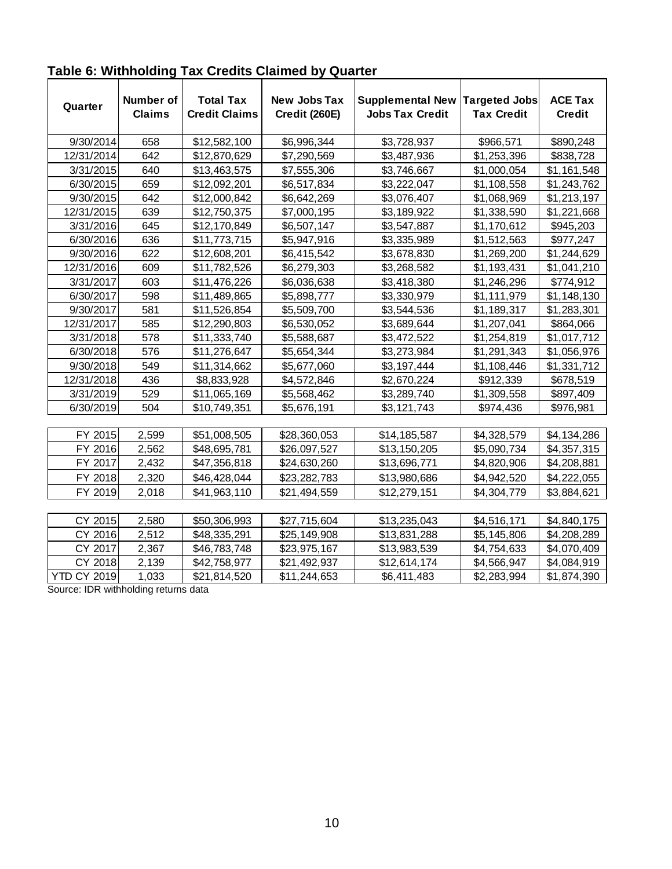| Quarter            | Number of<br><b>Claims</b> | <b>Total Tax</b><br><b>Credit Claims</b> | <b>New Jobs Tax</b><br>Credit (260E) | <b>Supplemental New</b><br><b>Jobs Tax Credit</b> | <b>Targeted Jobs</b><br><b>Tax Credit</b> | <b>ACE Tax</b><br><b>Credit</b> |
|--------------------|----------------------------|------------------------------------------|--------------------------------------|---------------------------------------------------|-------------------------------------------|---------------------------------|
| 9/30/2014          | 658                        | \$12,582,100                             | \$6,996,344                          | \$3,728,937                                       | \$966,571                                 | \$890,248                       |
| 12/31/2014         | 642                        | \$12,870,629                             | \$7,290,569                          | \$3,487,936                                       | \$1,253,396                               | \$838,728                       |
| 3/31/2015          | 640                        | \$13,463,575                             | \$7,555,306                          | \$3,746,667                                       | \$1,000,054                               | \$1,161,548                     |
| 6/30/2015          | 659                        | \$12,092,201                             | \$6,517,834                          | \$3,222,047                                       | \$1,108,558                               | \$1,243,762                     |
| 9/30/2015          | 642                        | \$12,000,842                             | \$6,642,269                          | \$3,076,407                                       | \$1,068,969                               | \$1,213,197                     |
| 12/31/2015         | 639                        | \$12,750,375                             | \$7,000,195                          | \$3,189,922                                       | \$1,338,590                               | \$1,221,668                     |
| 3/31/2016          | 645                        | \$12,170,849                             | \$6,507,147                          | \$3,547,887                                       | \$1,170,612                               | \$945,203                       |
| 6/30/2016          | 636                        | \$11,773,715                             | \$5,947,916                          | \$3,335,989                                       | \$1,512,563                               | \$977,247                       |
| 9/30/2016          | 622                        | \$12,608,201                             | \$6,415,542                          | \$3,678,830                                       | \$1,269,200                               | \$1,244,629                     |
| 12/31/2016         | 609                        | \$11,782,526                             | \$6,279,303                          | \$3,268,582                                       | \$1,193,431                               | \$1,041,210                     |
| 3/31/2017          | 603                        | \$11,476,226                             | \$6,036,638                          | \$3,418,380                                       | \$1,246,296                               | \$774,912                       |
| 6/30/2017          | 598                        | \$11,489,865                             | \$5,898,777                          | \$3,330,979                                       | \$1,111,979                               | \$1,148,130                     |
| 9/30/2017          | 581                        | \$11,526,854                             | \$5,509,700                          | \$3,544,536                                       | \$1,189,317                               | \$1,283,301                     |
| 12/31/2017         | 585                        | \$12,290,803                             | \$6,530,052                          | \$3,689,644                                       | \$1,207,041                               | \$864,066                       |
| 3/31/2018          | 578                        | \$11,333,740                             | \$5,588,687                          | \$3,472,522                                       | \$1,254,819                               | \$1,017,712                     |
| 6/30/2018          | 576                        | \$11,276,647                             | \$5,654,344                          | \$3,273,984                                       | \$1,291,343                               | \$1,056,976                     |
| 9/30/2018          | 549                        | \$11,314,662                             | \$5,677,060                          | \$3,197,444                                       | \$1,108,446                               | \$1,331,712                     |
| 12/31/2018         | 436                        | \$8,833,928                              | \$4,572,846                          | \$2,670,224                                       | \$912,339                                 | \$678,519                       |
| 3/31/2019          | 529                        | \$11,065,169                             | \$5,568,462                          | \$3,289,740                                       | \$1,309,558                               | \$897,409                       |
| 6/30/2019          | 504                        | \$10,749,351                             | \$5,676,191                          | \$3,121,743                                       | \$974,436                                 | \$976,981                       |
|                    |                            |                                          |                                      |                                                   |                                           |                                 |
| FY 2015            | 2,599                      | \$51,008,505                             | \$28,360,053                         | \$14,185,587                                      | \$4,328,579                               | \$4,134,286                     |
| FY 2016            | 2,562                      | \$48,695,781                             | \$26,097,527                         | \$13,150,205                                      | \$5,090,734                               | \$4,357,315                     |
| FY 2017            | 2,432                      | \$47,356,818                             | \$24,630,260                         | \$13,696,771                                      | \$4,820,906                               | \$4,208,881                     |
| FY 2018            | 2,320                      | \$46,428,044                             | \$23,282,783                         | \$13,980,686                                      | \$4,942,520                               | \$4,222,055                     |
| FY 2019            | 2,018                      | \$41,963,110                             | \$21,494,559                         | \$12,279,151                                      | \$4,304,779                               | \$3,884,621                     |
|                    |                            |                                          |                                      |                                                   |                                           |                                 |
| CY 2015            | 2,580                      | \$50,306,993                             | \$27,715,604                         | \$13,235,043                                      | \$4,516,171                               | \$4,840,175                     |
| CY 2016            | 2,512                      | \$48,335,291                             | \$25,149,908                         | \$13,831,288                                      | \$5,145,806                               | \$4,208,289                     |
| CY 2017            | 2,367                      | \$46,783,748                             | \$23,975,167                         | \$13,983,539                                      | \$4,754,633                               | \$4,070,409                     |
| CY 2018            | 2,139                      | \$42,758,977                             | \$21,492,937                         | \$12,614,174                                      | \$4,566,947                               | \$4,084,919                     |
| <b>YTD CY 2019</b> | 1,033                      | \$21,814,520                             | \$11,244,653                         | \$6,411,483                                       | \$2,283,994                               | \$1,874,390                     |

## **Table 6: Withholding Tax Credits Claimed by Quarter**

Source: IDR withholding returns data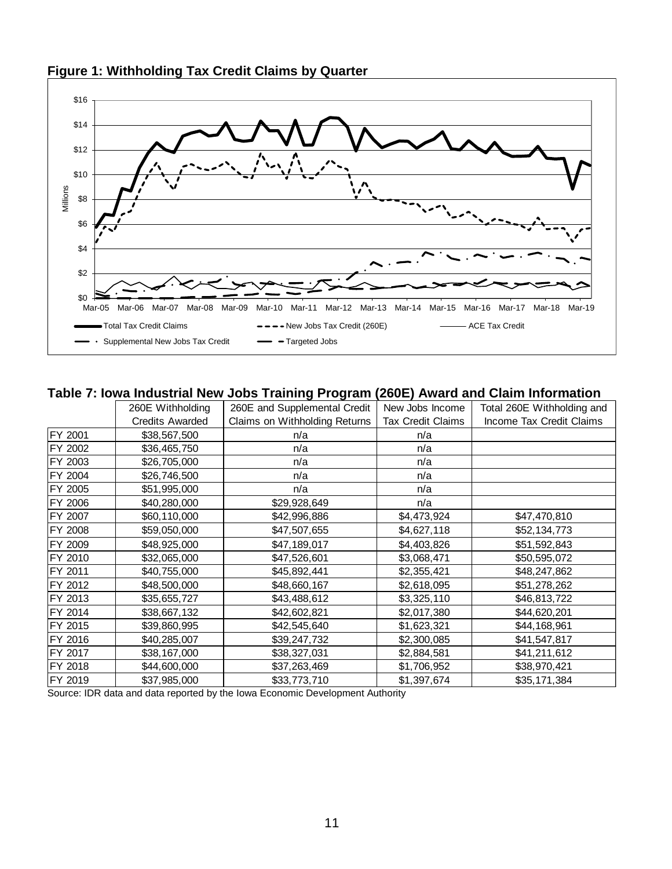

## **Figure 1: Withholding Tax Credit Claims by Quarter**

#### **Table 7: Iowa Industrial New Jobs Training Program (260E) Award and Claim Information**

|         | 260E Withholding       | 260E and Supplemental Credit  | New Jobs Income          | Total 260E Withholding and |
|---------|------------------------|-------------------------------|--------------------------|----------------------------|
|         | <b>Credits Awarded</b> | Claims on Withholding Returns | <b>Tax Credit Claims</b> | Income Tax Credit Claims   |
| FY 2001 | \$38,567,500           | n/a                           | n/a                      |                            |
| FY 2002 | \$36,465,750           | n/a                           | n/a                      |                            |
| FY 2003 | \$26,705,000           | n/a                           | n/a                      |                            |
| FY 2004 | \$26,746,500           | n/a                           | n/a                      |                            |
| FY 2005 | \$51,995,000           | n/a                           | n/a                      |                            |
| FY 2006 | \$40,280,000           | \$29,928,649                  | n/a                      |                            |
| FY 2007 | \$60,110,000           | \$42,996,886                  | \$4,473,924              | \$47,470,810               |
| FY 2008 | \$59,050,000           | \$47,507,655                  | \$4,627,118              | \$52,134,773               |
| FY 2009 | \$48,925,000           | \$47,189,017                  | \$4,403,826              | \$51,592,843               |
| FY 2010 | \$32,065,000           | \$47,526,601                  | \$3,068,471              | \$50,595,072               |
| FY 2011 | \$40,755,000           | \$45,892,441                  | \$2,355,421              | \$48,247,862               |
| FY 2012 | \$48,500,000           | \$48,660,167                  | \$2,618,095              | \$51,278,262               |
| FY 2013 | \$35,655,727           | \$43,488,612                  | \$3,325,110              | \$46,813,722               |
| FY 2014 | \$38,667,132           | \$42,602,821                  | \$2,017,380              | \$44,620,201               |
| FY 2015 | \$39,860,995           | \$42,545,640                  | \$1,623,321              | \$44,168,961               |
| FY 2016 | \$40,285,007           | \$39,247,732                  | \$2,300,085              | \$41,547,817               |
| FY 2017 | \$38,167,000           | \$38,327,031                  | \$2,884,581              | \$41,211,612               |
| FY 2018 | \$44,600,000           | \$37,263,469                  | \$1,706,952              | \$38,970,421               |
| FY 2019 | \$37,985,000           | \$33,773,710                  | \$1,397,674              | \$35,171,384               |

Source: IDR data and data reported by the Iowa Economic Development Authority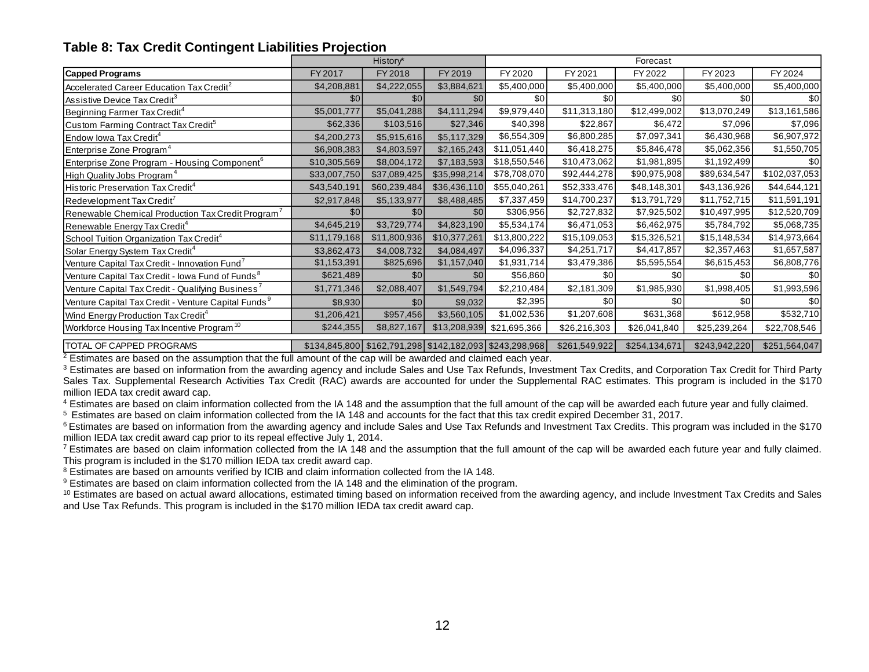#### **Table 8: Tax Credit Contingent Liabilities Projection**

| <b>Table 8: Tax Credit Contingent Liabilities Projection</b>    |              |              |              |                                                               |               |               |               |               |  |
|-----------------------------------------------------------------|--------------|--------------|--------------|---------------------------------------------------------------|---------------|---------------|---------------|---------------|--|
|                                                                 |              | History*     |              | Forecast                                                      |               |               |               |               |  |
| <b>Capped Programs</b>                                          | FY 2017      | FY 2018      | FY 2019      | FY 2020                                                       | FY 2021       | FY 2022       | FY 2023       | FY 2024       |  |
| Accelerated Career Education Tax Credit <sup>2</sup>            | \$4,208,881  | \$4,222,055  | \$3,884,621  | \$5,400,000                                                   | \$5,400,000   | \$5,400,000   | \$5,400,000   | \$5,400,000   |  |
| Assistive Device Tax Credit <sup>3</sup>                        | \$0          | \$0          | \$0          | \$0                                                           | \$0           | \$0           | \$0           | \$0           |  |
| Beginning Farmer Tax Credit <sup>4</sup>                        | \$5,001,777  | \$5,041,288  | \$4,111,294  | \$9,979,440                                                   | \$11,313,180  | \$12,499,002  | \$13,070,249  | \$13,161,586  |  |
| Custom Farming Contract Tax Credit <sup>5</sup>                 | \$62,336     | \$103,516    | \$27,346     | \$40,398                                                      | \$22,867      | \$6,472       | \$7,096       | \$7,096       |  |
| Endow Iowa Tax Credit <sup>4</sup>                              | \$4,200,273  | \$5,915,616  | \$5,117,329  | \$6,554,309                                                   | \$6,800,285   | \$7,097,341   | \$6,430,968   | \$6,907,972   |  |
| Enterprise Zone Program <sup>4</sup>                            | \$6,908,383  | \$4,803,597  | \$2,165,243  | \$11,051,440                                                  | \$6,418,275   | \$5,846,478   | \$5,062,356   | \$1,550,705   |  |
| Enterprise Zone Program - Housing Component <sup>6</sup>        | \$10,305,569 | \$8,004,172  | \$7,183,593  | \$18,550,546                                                  | \$10,473,062  | \$1,981,895   | \$1,192,499   | \$0           |  |
| High Quality Jobs Program <sup>4</sup>                          | \$33,007,750 | \$37,089,425 | \$35,998,214 | \$78,708,070                                                  | \$92,444,278  | \$90,975,908  | \$89,634,547  | \$102,037,053 |  |
| Historic Preservation Tax Credit <sup>4</sup>                   | \$43,540,191 | \$60,239,484 | \$36,436,110 | \$55,040,261                                                  | \$52,333,476  | \$48,148,301  | \$43,136,926  | \$44,644,121  |  |
| Redevelopment Tax Credit'                                       | \$2,917,848  | \$5,133,977  | \$8,488,485  | \$7,337,459                                                   | \$14,700,237  | \$13,791,729  | \$11,752,715  | \$11,591,191  |  |
| Renewable Chemical Production Tax Credit Program <sup>7</sup>   | \$0          | \$0          | \$0          | \$306,956                                                     | \$2,727,832   | \$7,925,502   | \$10,497,995  | \$12,520,709  |  |
| Renewable Energy Tax Credit <sup>4</sup>                        | \$4,645,219  | \$3,729,774  | \$4,823,190  | \$5,534,174                                                   | \$6,471,053   | \$6,462,975   | \$5,784,792   | \$5,068,735   |  |
| School Tuition Organization Tax Credit <sup>4</sup>             | \$11,179,168 | \$11,800,936 | \$10,377,261 | \$13,800,222                                                  | \$15,109,053  | \$15,326,521  | \$15,148,534  | \$14,973,664  |  |
| Solar Energy System Tax Credit <sup>4</sup>                     | \$3,862,473  | \$4,008,732  | \$4,084,497  | \$4,096,337                                                   | \$4,251,717   | \$4,417,857   | \$2,357,463   | \$1,657,587   |  |
| Venture Capital Tax Credit - Innovation Fund <sup>7</sup>       | \$1,153,391  | \$825,696    | \$1,157,040  | \$1,931,714                                                   | \$3,479,386   | \$5,595,554   | \$6,615,453   | \$6,808,776   |  |
| Venture Capital Tax Credit - Iowa Fund of Funds <sup>8</sup>    | \$621,489    | \$0          | \$0          | \$56,860                                                      | \$0           | \$0           | \$0           | \$0           |  |
| Venture Capital Tax Credit - Qualifying Business <sup>7</sup>   | \$1,771,346  | \$2,088,407  | \$1,549,794  | \$2,210,484                                                   | \$2,181,309   | \$1,985,930   | \$1,998,405   | \$1,993,596   |  |
| Venture Capital Tax Credit - Venture Capital Funds <sup>9</sup> | \$8,930      | \$0          | \$9,032      | \$2,395                                                       | \$0           | \$0           | \$0           | \$0           |  |
| Wind Energy Production Tax Credit <sup>4</sup>                  | \$1,206,421  | \$957,456    | \$3,560,105  | \$1,002,536                                                   | \$1,207,608   | \$631,368     | \$612,958     | \$532,710     |  |
| Workforce Housing Tax Incentive Program <sup>10</sup>           | \$244,355    | \$8,827,167  | \$13,208,939 | \$21,695,366                                                  | \$26,216,303  | \$26,041,840  | \$25,239,264  | \$22,708,546  |  |
| TOTAL OF CAPPED PROGRAMS                                        |              |              |              | \$134,845,800   \$162,791,298   \$142,182,093   \$243,298,968 | \$261,549,922 | \$254,134,671 | \$243,942,220 | \$251,564,047 |  |

 $2$  Estimates are based on the assumption that the full amount of the cap will be awarded and claimed each year.

<sup>3</sup> Estimates are based on information from the awarding agency and include Sales and Use Tax Refunds, Investment Tax Credits, and Corporation Tax Credit for Third Party Sales Tax. Supplemental Research Activities Tax Credit (RAC) awards are accounted for under the Supplemental RAC estimates. This program is included in the \$170 million IEDA tax credit award cap.

<sup>4</sup> Estimates are based on claim information collected from the IA 148 and the assumption that the full amount of the cap will be awarded each future year and fully claimed.

<sup>5</sup> Estimates are based on claim information collected from the IA 148 and accounts for the fact that this tax credit expired December 31, 2017.

<sup>6</sup> Estimates are based on information from the awarding agency and include Sales and Use Tax Refunds and Investment Tax Credits. This program was included in the \$170 million IEDA tax credit award cap prior to its repeal effective July 1, 2014.

 $7$  Estimates are based on claim information collected from the IA 148 and the assumption that the full amount of the cap will be awarded each future year and fully claimed. This program is included in the \$170 million IEDA tax credit award cap.

<sup>8</sup> Estimates are based on amounts verified by ICIB and claim information collected from the IA 148.

<sup>9</sup> Estimates are based on claim information collected from the IA 148 and the elimination of the program.

<sup>10</sup> Estimates are based on actual award allocations, estimated timing based on information received from the awarding agency, and include Investment Tax Credits and Sales and Use Tax Refunds. This program is included in the \$170 million IEDA tax credit award cap.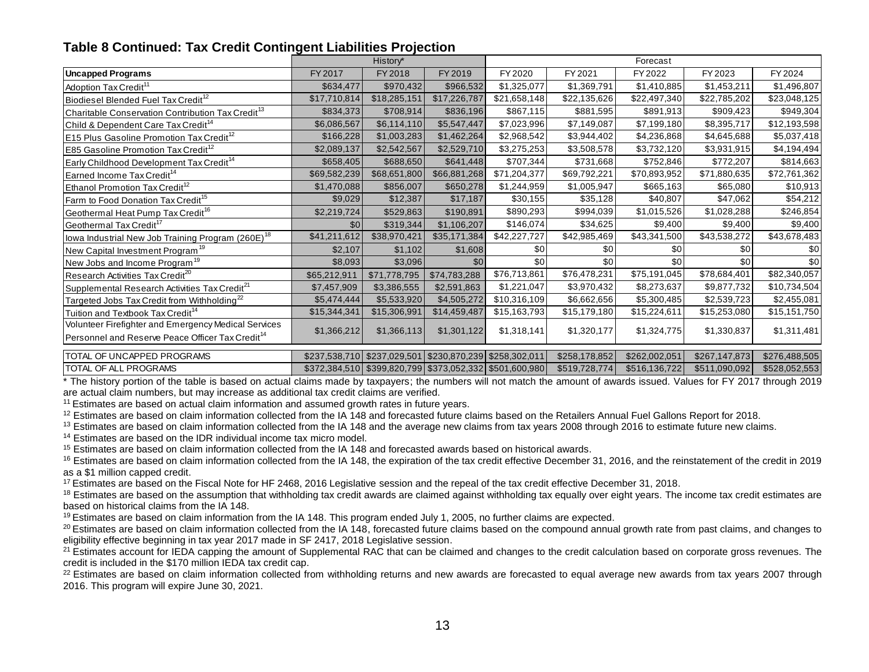#### **Table 8 Continued: Tax Credit Contingent Liabilities Projection**

|                                                               |              | History*                                                |              |              |               | Forecast      |               |               |
|---------------------------------------------------------------|--------------|---------------------------------------------------------|--------------|--------------|---------------|---------------|---------------|---------------|
| Uncapped Programs                                             | FY 2017      | FY 2018                                                 | FY 2019      | FY 2020      | FY 2021       | FY 2022       | FY 2023       | FY 2024       |
| Adoption Tax Credit <sup>11</sup>                             | \$634,477    | \$970,432                                               | \$966,532    | \$1,325,077  | \$1,369,791   | \$1,410,885   | \$1,453,211   | \$1,496,807   |
| Biodiesel Blended Fuel Tax Credit <sup>12</sup>               | \$17,710,814 | \$18,285,151                                            | \$17,226,787 | \$21,658,148 | \$22,135,626  | \$22,497,340  | \$22,785,202  | \$23,048,125  |
| Charitable Conservation Contribution Tax Credit <sup>13</sup> | \$834,373    | \$708,914                                               | \$836,196    | \$867,115    | \$881,595     | \$891,913     | \$909,423     | \$949,304     |
| Child & Dependent Care Tax Credit <sup>14</sup>               | \$6,086,567  | \$6,114,110                                             | \$5,547,447  | \$7,023,996  | \$7,149,087   | \$7,199,180   | \$8,395,717   | \$12,193,598  |
| <b>E15 Plus Gasoline Promotion Tax Credit<sup>12</sup></b>    | \$166,228    | \$1,003,283                                             | \$1,462,264  | \$2,968,542  | \$3,944,402   | \$4,236,868   | \$4,645,688   | \$5,037,418   |
| <b>E85 Gasoline Promotion Tax Credit<sup>12</sup></b>         | \$2,089,137  | \$2,542,567                                             | \$2,529,710  | \$3,275,253  | \$3,508,578   | \$3,732,120   | \$3,931,915   | \$4,194,494   |
| Early Childhood Development Tax Credit <sup>14</sup>          | \$658,405    | \$688,650                                               | \$641,448    | \$707,344    | \$731,668     | \$752,846     | \$772,207     | \$814,663     |
| Earned Income Tax Credit <sup>14</sup>                        | \$69,582,239 | \$68,651,800                                            | \$66,881,268 | \$71,204,377 | \$69,792,221  | \$70,893,952  | \$71,880,635  | \$72,761,362  |
| Ethanol Promotion Tax Credit <sup>12</sup>                    | \$1,470,088  | \$856,007                                               | \$650,278    | \$1,244,959  | \$1,005,947   | \$665,163     | \$65,080      | \$10,913      |
| Farm to Food Donation Tax Credit <sup>15</sup>                | \$9,029      | \$12,387                                                | \$17,187     | \$30,155     | \$35,128      | \$40,807      | \$47,062      | \$54,212      |
| Geothermal Heat Pump Tax Credit <sup>16</sup>                 | \$2,219,724  | \$529,863                                               | \$190,891    | \$890,293    | \$994,039     | \$1,015,526   | \$1,028,288   | \$246,854     |
| Geothermal Tax Credit <sup>17</sup>                           | \$0          | \$319,344                                               | \$1,106,207  | \$146,074    | \$34,625      | \$9,400       | \$9,400       | \$9,400       |
| lowa Industrial New Job Training Program (260E) <sup>18</sup> | \$41,211,612 | \$38,970,421                                            | \$35,171,384 | \$42,227,727 | \$42,985,469  | \$43,341,500  | \$43,538,272  | \$43,678,483  |
| New Capital Investment Program <sup>19</sup>                  | \$2,107      | \$1,102                                                 | \$1,608      | \$0          | \$0           | \$0           | \$0           | \$0           |
| New Jobs and Income Program <sup>19</sup>                     | \$8,093      | \$3,096                                                 | \$0          | \$0          | \$0           | \$0           | \$0           | \$0           |
| Research Activities Tax Credit <sup>20</sup>                  | \$65,212,911 | \$71,778,795                                            | \$74,783,288 | \$76,713,861 | \$76,478,231  | \$75,191,045  | \$78,684,401  | \$82,340,057  |
| Supplemental Research Activities Tax Credit <sup>21</sup>     | \$7,457,909  | \$3,386,555                                             | \$2,591,863  | \$1,221,047  | \$3,970,432   | \$8,273,637   | \$9,877,732   | \$10,734,504  |
| Targeted Jobs Tax Credit from Withholding <sup>22</sup>       | \$5,474,444  | \$5,533,920                                             | \$4,505,272  | \$10,316,109 | \$6,662,656   | \$5,300,485   | \$2,539,723   | \$2,455,081   |
| Tuition and Textbook Tax Credit <sup>14</sup>                 | \$15,344,341 | \$15,306,991                                            | \$14,459,487 | \$15,163,793 | \$15,179,180  | \$15,224,611  | \$15,253,080  | \$15,151,750  |
| Volunteer Firefighter and Emergency Medical Services          |              |                                                         | \$1,301,122  |              | \$1,320,177   | \$1,324,775   |               |               |
| Personnel and Reserve Peace Officer Tax Credit <sup>14</sup>  | \$1,366,212  | \$1,366,113                                             |              | \$1,318,141  |               |               | \$1,330,837   | \$1,311,481   |
| TOTAL OF UNCAPPED PROGRAMS                                    |              | \$237,538,710 \$237,029,501 \$230,870,239 \$258,302,011 |              |              | \$258,178,852 | \$262,002,051 | \$267,147,873 | \$276,488,505 |
| <b>TOTAL OF ALL PROGRAMS</b>                                  |              | \$372,384,510 \$399,820,799 \$373,052,332 \$501,600,980 |              |              | \$519,728,774 | \$516,136,722 | \$511,090,092 | \$528,052,553 |

\* The history portion of the table is based on actual claims made by taxpayers; the numbers will not match the amount of awards issued. Values for FY 2017 through 2019 are actual claim numbers, but may increase as additional tax credit claims are verified.

<sup>11</sup> Estimates are based on actual claim information and assumed growth rates in future years.

 $12$  Estimates are based on claim information collected from the IA 148 and forecasted future claims based on the Retailers Annual Fuel Gallons Report for 2018.

<sup>13</sup> Estimates are based on claim information collected from the IA 148 and the average new claims from tax years 2008 through 2016 to estimate future new claims.

<sup>14</sup> Estimates are based on the IDR individual income tax micro model.

<sup>15</sup> Estimates are based on claim information collected from the IA 148 and forecasted awards based on historical awards.

<sup>16</sup> Estimates are based on claim information collected from the IA 148, the expiration of the tax credit effective December 31, 2016, and the reinstatement of the credit in 2019 as a \$1 million capped credit.

<sup>17</sup> Estimates are based on the Fiscal Note for HF 2468, 2016 Legislative session and the repeal of the tax credit effective December 31, 2018.

<sup>18</sup> Estimates are based on the assumption that withholding tax credit awards are claimed against withholding tax equally over eight years. The income tax credit estimates are based on historical claims from the IA 148.

<sup>19</sup> Estimates are based on claim information from the IA 148. This program ended July 1, 2005, no further claims are expected.

 $^{20}$  Estimates are based on claim information collected from the IA 148, forecasted future claims based on the compound annual growth rate from past claims, and changes to eligibility effective beginning in tax year 2017 made in SF 2417, 2018 Legislative session.

<sup>21</sup> Estimates account for IEDA capping the amount of Supplemental RAC that can be claimed and changes to the credit calculation based on corporate gross revenues. The credit is included in the \$170 million IEDA tax credit cap.

 $^{22}$  Estimates are based on claim information collected from withholding returns and new awards are forecasted to equal average new awards from tax years 2007 through 2016. This program will expire June 30, 2021.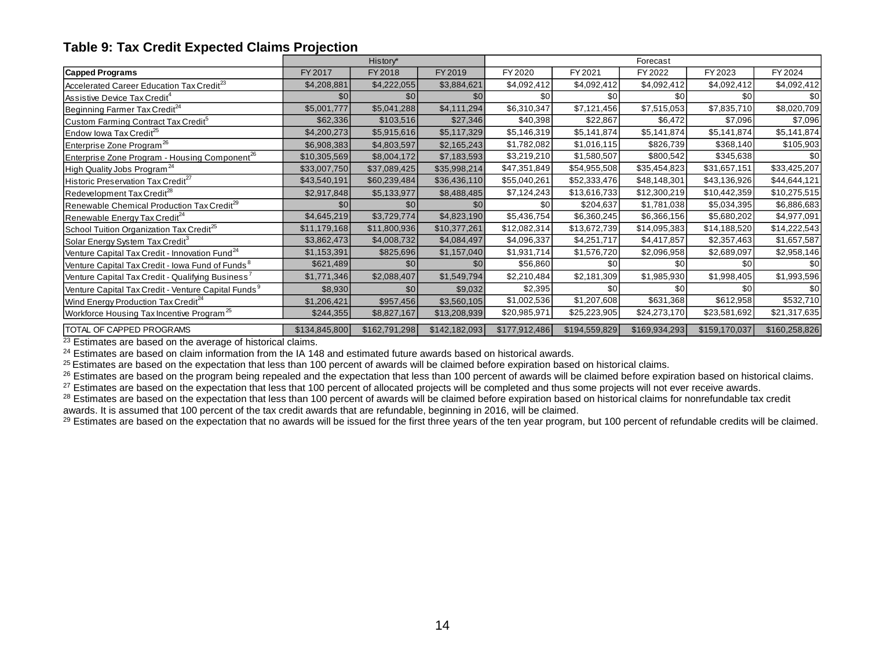#### **Table 9: Tax Credit Expected Claims Projection**

| <b>Table 9: Tax Credit Expected Claims Projection</b>           |               |               |               |               |               |               |               |               |  |
|-----------------------------------------------------------------|---------------|---------------|---------------|---------------|---------------|---------------|---------------|---------------|--|
|                                                                 |               | History*      |               | Forecast      |               |               |               |               |  |
| <b>Capped Programs</b>                                          | FY 2017       | FY 2018       | FY 2019       | FY 2020       | FY 2021       | FY 2022       | FY 2023       | FY 2024       |  |
| Accelerated Career Education Tax Credit <sup>23</sup>           | \$4,208,881   | \$4,222,055   | \$3,884,621   | \$4,092,412   | \$4,092,412   | \$4,092,412   | \$4,092,412   | \$4,092,412   |  |
| Assistive Device Tax Credit <sup>4</sup>                        | \$0           | \$0           | \$0           | \$0           | \$0           | \$0           | \$0           | \$0           |  |
| Beginning Farmer Tax Credit <sup>24</sup>                       | \$5,001,777   | \$5,041,288   | \$4,111,294   | \$6,310,347   | \$7,121,456   | \$7,515,053   | \$7,835,710   | \$8,020,709   |  |
| Custom Farming Contract Tax Credit <sup>5</sup>                 | \$62,336      | \$103,516     | \$27,346      | \$40,398      | \$22,867      | \$6,472       | \$7,096       | \$7,096       |  |
| Endow Iowa Tax Credit <sup>25</sup>                             | \$4,200,273   | \$5,915,616   | \$5,117,329   | \$5,146,319   | \$5,141,874   | \$5,141,874   | \$5,141,874   | \$5,141,874   |  |
| Enterprise Zone Program <sup>26</sup>                           | \$6,908,383   | \$4,803,597   | \$2,165,243   | \$1,782,082   | \$1,016,115   | \$826,739     | \$368,140     | \$105,903     |  |
| Enterprise Zone Program - Housing Component <sup>26</sup>       | \$10,305,569  | \$8,004,172   | \$7,183,593   | \$3,219,210   | \$1,580,507   | \$800,542     | \$345,638     | \$0           |  |
| High Quality Jobs Program <sup>24</sup>                         | \$33,007,750  | \$37,089,425  | \$35,998,214  | \$47,351,849  | \$54,955,508  | \$35,454,823  | \$31,657,151  | \$33,425,207  |  |
| Historic Preservation Tax Credit <sup>27</sup>                  | \$43,540,191  | \$60,239,484  | \$36,436,110  | \$55,040,261  | \$52,333,476  | \$48,148,301  | \$43,136,926  | \$44,644,121  |  |
| Redevelopment Tax Credit <sup>28</sup>                          | \$2,917,848   | \$5,133,977   | \$8,488,485   | \$7,124,243   | \$13,616,733  | \$12,300,219  | \$10,442,359  | \$10,275,515  |  |
| Renewable Chemical Production Tax Credit <sup>29</sup>          | \$0           | \$0           | \$0           | \$0           | \$204,637     | \$1,781,038   | \$5,034,395   | \$6,886,683   |  |
| Renewable Energy Tax Credit <sup>24</sup>                       | \$4,645,219   | \$3,729,774   | \$4,823,190   | \$5,436,754   | \$6,360,245   | \$6,366,156   | \$5,680,202   | \$4,977,091   |  |
| School Tuition Organization Tax Credit <sup>25</sup>            | \$11,179,168  | \$11,800,936  | \$10,377,261  | \$12,082,314  | \$13,672,739  | \$14,095,383  | \$14,188,520  | \$14,222,543  |  |
| Solar Energy System Tax Credit <sup>3</sup>                     | \$3,862,473   | \$4,008,732   | \$4,084,497   | \$4,096,337   | \$4,251,717   | \$4,417,857   | \$2,357,463   | \$1,657,587   |  |
| Venture Capital Tax Credit - Innovation Fund <sup>24</sup>      | \$1,153,391   | \$825,696     | \$1,157,040   | \$1,931,714   | \$1,576,720   | \$2,096,958   | \$2,689,097   | \$2,958,146   |  |
| Venture Capital Tax Credit - Iowa Fund of Funds <sup>8</sup>    | \$621,489     | \$0           | \$0           | \$56,860      | \$0           | \$0           | \$0           | \$0           |  |
| Venture Capital Tax Credit - Qualifying Business'               | \$1,771,346   | \$2,088,407   | \$1,549,794   | \$2,210,484   | \$2,181,309   | \$1,985,930   | \$1,998,405   | \$1,993,596   |  |
| Venture Capital Tax Credit - Venture Capital Funds <sup>9</sup> | \$8,930       | \$0           | \$9,032       | \$2,395       | \$0           | \$0           | \$0           | \$0           |  |
| Wind Energy Production Tax Credit <sup>24</sup>                 | \$1,206,421   | \$957,456     | \$3,560,105   | \$1,002,536   | \$1,207,608   | \$631,368     | \$612,958     | \$532,710     |  |
| Workforce Housing Tax Incentive Program <sup>25</sup>           | \$244,355     | \$8,827,167   | \$13,208,939  | \$20,985,971  | \$25,223,905  | \$24,273,170  | \$23,581,692  | \$21,317,635  |  |
| <b>TOTAL OF CAPPED PROGRAMS</b>                                 | \$134,845,800 | \$162,791,298 | \$142,182,093 | \$177,912,486 | \$194,559,829 | \$169,934,293 | \$159,170,037 | \$160,258,826 |  |

<sup>23</sup> Estimates are based on the average of historical claims.

 $24$  Estimates are based on claim information from the IA 148 and estimated future awards based on historical awards.

<sup>25</sup> Estimates are based on the expectation that less than 100 percent of awards will be claimed before expiration based on historical claims.

<sup>26</sup> Estimates are based on the program being repealed and the expectation that less than 100 percent of awards will be claimed before expiration based on historical claims.

<sup>27</sup> Estimates are based on the expectation that less that 100 percent of allocated projects will be completed and thus some projects will not ever receive awards.

<sup>28</sup> Estimates are based on the expectation that less than 100 percent of awards will be claimed before expiration based on historical claims for nonrefundable tax credit awards. It is assumed that 100 percent of the tax credit awards that are refundable, beginning in 2016, will be claimed.

<sup>29</sup> Estimates are based on the expectation that no awards will be issued for the first three years of the ten year program, but 100 percent of refundable credits will be claimed.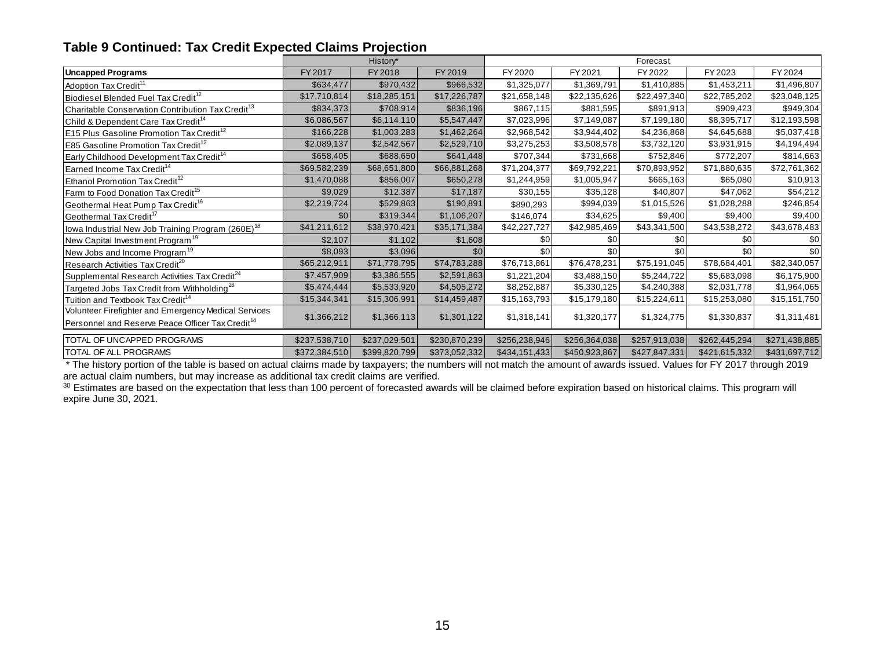## **Table 9 Continued: Tax Credit Expected Claims Projection**

|                                                               |               | History*      |               |               |               | Forecast      |               |               |
|---------------------------------------------------------------|---------------|---------------|---------------|---------------|---------------|---------------|---------------|---------------|
| Uncapped Programs                                             | FY 2017       | FY 2018       | FY 2019       | FY 2020       | FY 2021       | FY 2022       | FY 2023       | FY 2024       |
| Adoption Tax Credit <sup>11</sup>                             | \$634,477     | \$970,432     | \$966,532     | \$1,325,077   | \$1,369,791   | \$1,410,885   | \$1,453,211   | \$1,496,807   |
| Biodiesel Blended Fuel Tax Credit <sup>12</sup>               | \$17,710,814  | \$18,285,151  | \$17,226,787  | \$21,658,148  | \$22,135,626  | \$22,497,340  | \$22,785,202  | \$23,048,125  |
| Charitable Conservation Contribution Tax Credit <sup>13</sup> | \$834,373     | \$708,914     | \$836,196     | \$867,115     | \$881,595     | \$891,913     | \$909,423     | \$949,304     |
| Child & Dependent Care Tax Credit <sup>14</sup>               | \$6,086,567   | \$6,114,110   | \$5,547,447   | \$7,023,996   | \$7,149,087   | \$7,199,180   | \$8,395,717   | \$12,193,598  |
| <b>E15 Plus Gasoline Promotion Tax Credit<sup>12</sup></b>    | \$166,228     | \$1,003,283   | \$1,462,264   | \$2,968,542   | \$3,944,402   | \$4,236,868   | \$4,645,688   | \$5,037,418   |
| E85 Gasoline Promotion Tax Credit <sup>12</sup>               | \$2,089,137   | \$2,542,567   | \$2,529,710   | \$3,275,253   | \$3,508,578   | \$3,732,120   | \$3,931,915   | \$4,194,494   |
| Early Childhood Development Tax Credit <sup>14</sup>          | \$658,405     | \$688,650     | \$641,448     | \$707,344     | \$731,668     | \$752,846     | \$772,207     | \$814,663     |
| Earned Income Tax Credit <sup>14</sup>                        | \$69,582,239  | \$68,651,800  | \$66,881,268  | \$71,204,377  | \$69,792,221  | \$70,893,952  | \$71,880,635  | \$72,761,362  |
| Ethanol Promotion Tax Credit <sup>12</sup>                    | \$1,470,088   | \$856,007     | \$650,278     | \$1,244,959   | \$1,005,947   | \$665,163     | \$65,080      | \$10,913      |
| Farm to Food Donation Tax Credit <sup>15</sup>                | \$9,029       | \$12,387      | \$17,187      | \$30,155      | \$35,128      | \$40,807      | \$47,062      | \$54,212      |
| Geothermal Heat Pump Tax Credit <sup>16</sup>                 | \$2,219,724   | \$529,863     | \$190,891     | \$890,293     | \$994,039     | \$1,015,526   | \$1,028,288   | \$246,854     |
| Geothermal Tax Credit <sup>17</sup>                           | \$0           | \$319,344     | \$1,106,207   | \$146,074     | \$34,625      | \$9,400       | \$9,400       | \$9,400       |
| lowa Industrial New Job Training Program (260E) <sup>18</sup> | \$41,211,612  | \$38,970,421  | \$35,171,384  | \$42,227,727  | \$42,985,469  | \$43,341,500  | \$43,538,272  | \$43,678,483  |
| New Capital Investment Program <sup>19</sup>                  | \$2,107       | \$1,102       | \$1,608       | \$0           | \$0           | \$0           | \$0           | \$0           |
| New Jobs and Income Program <sup>19</sup>                     | \$8,093       | \$3,096       | \$0           | \$0           | \$0           | \$0           | \$0           | \$0           |
| Research Activities Tax Credit <sup>20</sup>                  | \$65,212,911  | \$71,778,795  | \$74,783,288  | \$76,713,861  | \$76,478,231  | \$75,191,045  | \$78,684,401  | \$82,340,057  |
| Supplemental Research Activities Tax Credit <sup>24</sup>     | \$7,457,909   | \$3,386,555   | \$2,591,863   | \$1,221,204   | \$3,488,150   | \$5,244,722   | \$5,683,098   | \$6,175,900   |
| Targeted Jobs Tax Credit from Withholding <sup>26</sup>       | \$5,474,444   | \$5,533,920   | \$4,505,272   | \$8,252,887   | \$5,330,125   | \$4,240,388   | \$2,031,778   | \$1,964,065   |
| Tuition and Textbook Tax Credit <sup>14</sup>                 | \$15,344,341  | \$15,306,991  | \$14,459,487  | \$15,163,793  | \$15,179,180  | \$15,224,611  | \$15,253,080  | \$15,151,750  |
| Volunteer Firefighter and Emergency Medical Services          | \$1,366,212   | \$1,366,113   | \$1,301,122   | \$1,318,141   | \$1,320,177   | \$1,324,775   | \$1,330,837   | \$1,311,481   |
| Personnel and Reserve Peace Officer Tax Credit <sup>14</sup>  |               |               |               |               |               |               |               |               |
| TOTAL OF UNCAPPED PROGRAMS                                    | \$237,538,710 | \$237,029,501 | \$230,870,239 | \$256,238,946 | \$256,364,038 | \$257,913,038 | \$262,445,294 | \$271,438,885 |
| <b>TOTAL OF ALL PROGRAMS</b>                                  | \$372,384,510 | \$399,820,799 | \$373,052,332 | \$434,151,433 | \$450,923,867 | \$427,847,331 | \$421,615,332 | \$431,697,712 |

\* The history portion of the table is based on actual claims made by taxpayers; the numbers will not match the amount of awards issued. Values for FY 2017 through 2019 are actual claim numbers, but may increase as additional tax credit claims are verified.

 $30$  Estimates are based on the expectation that less than 100 percent of forecasted awards will be claimed before expiration based on historical claims. This program will expire June 30, 2021.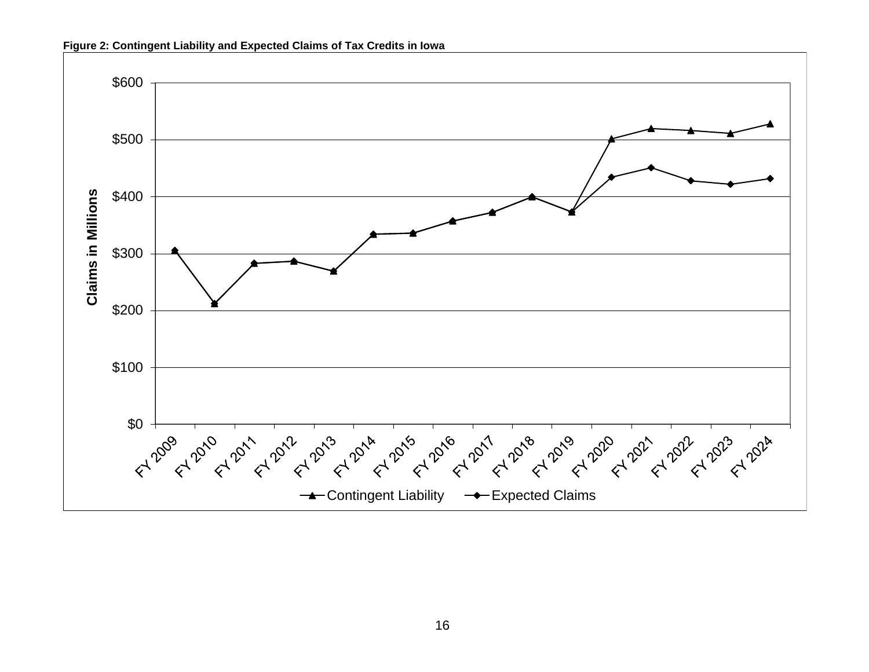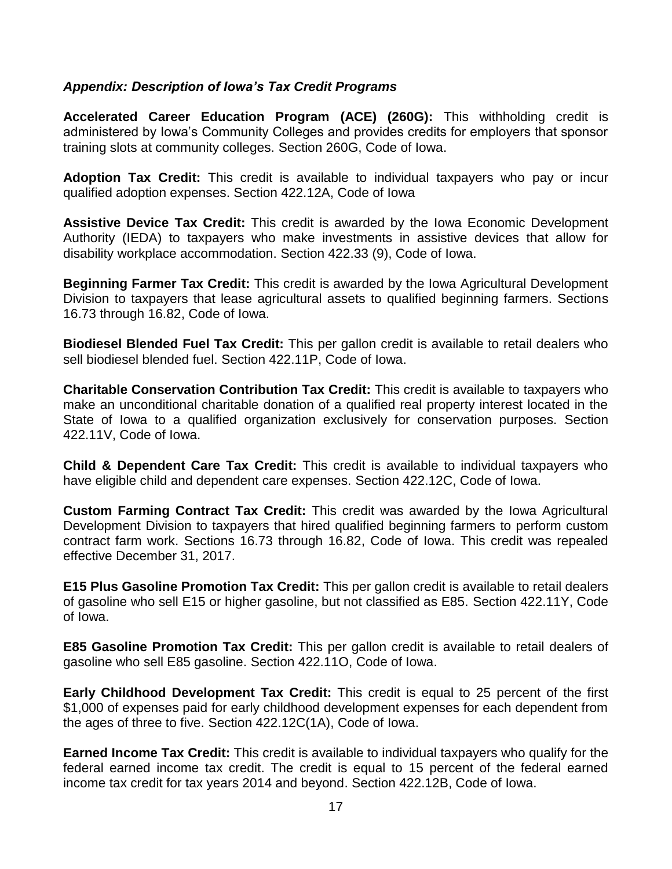#### *Appendix: Description of Iowa's Tax Credit Programs*

**Accelerated Career Education Program (ACE) (260G):** This withholding credit is administered by Iowa's Community Colleges and provides credits for employers that sponsor training slots at community colleges. Section 260G, Code of Iowa.

**Adoption Tax Credit:** This credit is available to individual taxpayers who pay or incur qualified adoption expenses. Section 422.12A, Code of Iowa

**Assistive Device Tax Credit:** This credit is awarded by the Iowa Economic Development Authority (IEDA) to taxpayers who make investments in assistive devices that allow for disability workplace accommodation. Section 422.33 (9), Code of Iowa.

**Beginning Farmer Tax Credit:** This credit is awarded by the Iowa Agricultural Development Division to taxpayers that lease agricultural assets to qualified beginning farmers. Sections 16.73 through 16.82, Code of Iowa.

**Biodiesel Blended Fuel Tax Credit:** This per gallon credit is available to retail dealers who sell biodiesel blended fuel. Section 422.11P, Code of Iowa.

**Charitable Conservation Contribution Tax Credit:** This credit is available to taxpayers who make an unconditional charitable donation of a qualified real property interest located in the State of Iowa to a qualified organization exclusively for conservation purposes. Section 422.11V, Code of Iowa.

**Child & Dependent Care Tax Credit:** This credit is available to individual taxpayers who have eligible child and dependent care expenses. Section 422.12C, Code of Iowa.

**Custom Farming Contract Tax Credit:** This credit was awarded by the Iowa Agricultural Development Division to taxpayers that hired qualified beginning farmers to perform custom contract farm work. Sections 16.73 through 16.82, Code of Iowa. This credit was repealed effective December 31, 2017.

**E15 Plus Gasoline Promotion Tax Credit:** This per gallon credit is available to retail dealers of gasoline who sell E15 or higher gasoline, but not classified as E85. Section 422.11Y, Code of Iowa.

**E85 Gasoline Promotion Tax Credit:** This per gallon credit is available to retail dealers of gasoline who sell E85 gasoline. Section 422.11O, Code of Iowa.

**Early Childhood Development Tax Credit:** This credit is equal to 25 percent of the first \$1,000 of expenses paid for early childhood development expenses for each dependent from the ages of three to five. Section 422.12C(1A), Code of Iowa.

**Earned Income Tax Credit:** This credit is available to individual taxpayers who qualify for the federal earned income tax credit. The credit is equal to 15 percent of the federal earned income tax credit for tax years 2014 and beyond. Section 422.12B, Code of Iowa.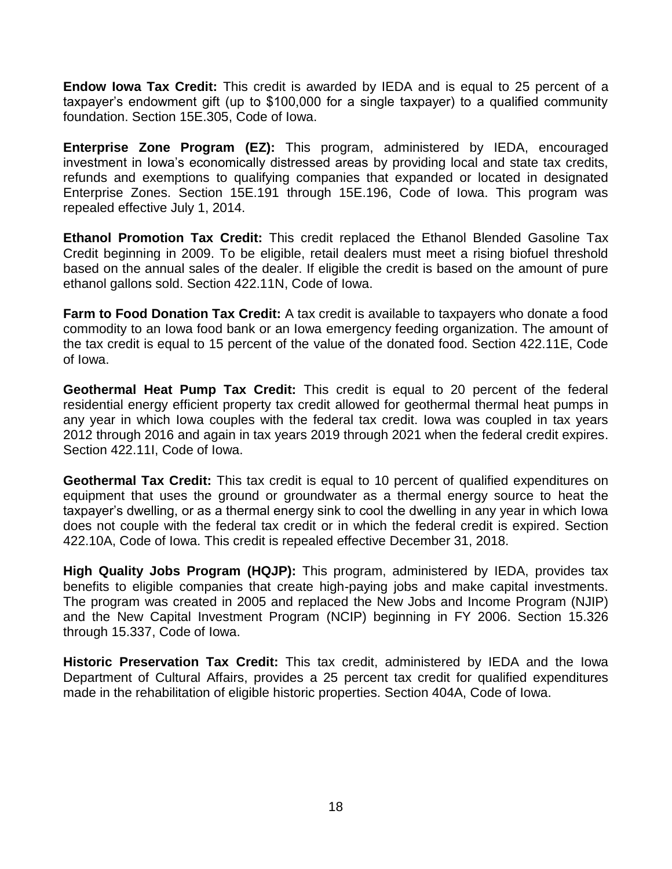**Endow Iowa Tax Credit:** This credit is awarded by IEDA and is equal to 25 percent of a taxpayer's endowment gift (up to \$100,000 for a single taxpayer) to a qualified community foundation. Section 15E.305, Code of Iowa.

**Enterprise Zone Program (EZ):** This program, administered by IEDA, encouraged investment in Iowa's economically distressed areas by providing local and state tax credits, refunds and exemptions to qualifying companies that expanded or located in designated Enterprise Zones. Section 15E.191 through 15E.196, Code of Iowa. This program was repealed effective July 1, 2014.

**Ethanol Promotion Tax Credit:** This credit replaced the Ethanol Blended Gasoline Tax Credit beginning in 2009. To be eligible, retail dealers must meet a rising biofuel threshold based on the annual sales of the dealer. If eligible the credit is based on the amount of pure ethanol gallons sold. Section 422.11N, Code of Iowa.

**Farm to Food Donation Tax Credit:** A tax credit is available to taxpayers who donate a food commodity to an Iowa food bank or an Iowa emergency feeding organization. The amount of the tax credit is equal to 15 percent of the value of the donated food. Section 422.11E, Code of Iowa.

**Geothermal Heat Pump Tax Credit:** This credit is equal to 20 percent of the federal residential energy efficient property tax credit allowed for geothermal thermal heat pumps in any year in which Iowa couples with the federal tax credit. Iowa was coupled in tax years 2012 through 2016 and again in tax years 2019 through 2021 when the federal credit expires. Section 422.11I, Code of Iowa.

**Geothermal Tax Credit:** This tax credit is equal to 10 percent of qualified expenditures on equipment that uses the ground or groundwater as a thermal energy source to heat the taxpayer's dwelling, or as a thermal energy sink to cool the dwelling in any year in which Iowa does not couple with the federal tax credit or in which the federal credit is expired. Section 422.10A, Code of Iowa. This credit is repealed effective December 31, 2018.

**High Quality Jobs Program (HQJP):** This program, administered by IEDA, provides tax benefits to eligible companies that create high-paying jobs and make capital investments. The program was created in 2005 and replaced the New Jobs and Income Program (NJIP) and the New Capital Investment Program (NCIP) beginning in FY 2006. Section 15.326 through 15.337, Code of Iowa.

**Historic Preservation Tax Credit:** This tax credit, administered by IEDA and the Iowa Department of Cultural Affairs, provides a 25 percent tax credit for qualified expenditures made in the rehabilitation of eligible historic properties. Section 404A, Code of Iowa.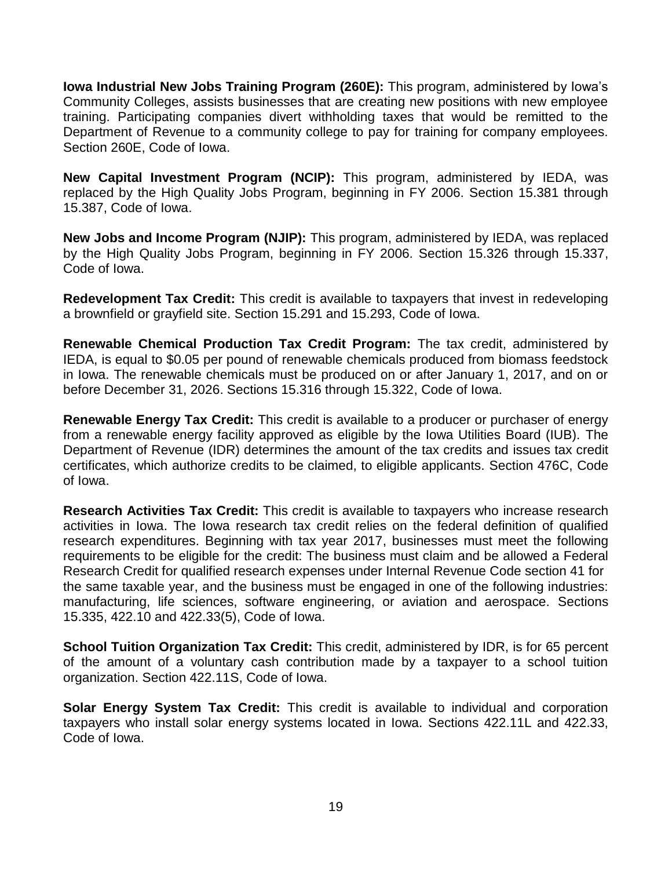**Iowa Industrial New Jobs Training Program (260E):** This program, administered by Iowa's Community Colleges, assists businesses that are creating new positions with new employee training. Participating companies divert withholding taxes that would be remitted to the Department of Revenue to a community college to pay for training for company employees. Section 260E, Code of Iowa.

**New Capital Investment Program (NCIP):** This program, administered by IEDA, was replaced by the High Quality Jobs Program, beginning in FY 2006. Section 15.381 through 15.387, Code of Iowa.

**New Jobs and Income Program (NJIP):** This program, administered by IEDA, was replaced by the High Quality Jobs Program, beginning in FY 2006. Section 15.326 through 15.337, Code of Iowa.

**Redevelopment Tax Credit:** This credit is available to taxpayers that invest in redeveloping a brownfield or grayfield site. Section 15.291 and 15.293, Code of Iowa.

**Renewable Chemical Production Tax Credit Program:** The tax credit, administered by IEDA, is equal to \$0.05 per pound of renewable chemicals produced from biomass feedstock in Iowa. The renewable chemicals must be produced on or after January 1, 2017, and on or before December 31, 2026. Sections 15.316 through 15.322, Code of Iowa.

**Renewable Energy Tax Credit:** This credit is available to a producer or purchaser of energy from a renewable energy facility approved as eligible by the Iowa Utilities Board (IUB). The Department of Revenue (IDR) determines the amount of the tax credits and issues tax credit certificates, which authorize credits to be claimed, to eligible applicants. Section 476C, Code of Iowa.

**Research Activities Tax Credit:** This credit is available to taxpayers who increase research activities in Iowa. The Iowa research tax credit relies on the federal definition of qualified research expenditures. Beginning with tax year 2017, businesses must meet the following requirements to be eligible for the credit: The business must claim and be allowed a Federal Research Credit for qualified research expenses under Internal Revenue Code section 41 for the same taxable year, and the business must be engaged in one of the following industries: manufacturing, life sciences, software engineering, or aviation and aerospace. Sections 15.335, 422.10 and 422.33(5), Code of Iowa.

**School Tuition Organization Tax Credit:** This credit, administered by IDR, is for 65 percent of the amount of a voluntary cash contribution made by a taxpayer to a school tuition organization. Section 422.11S, Code of Iowa.

**Solar Energy System Tax Credit:** This credit is available to individual and corporation taxpayers who install solar energy systems located in Iowa. Sections 422.11L and 422.33, Code of Iowa.